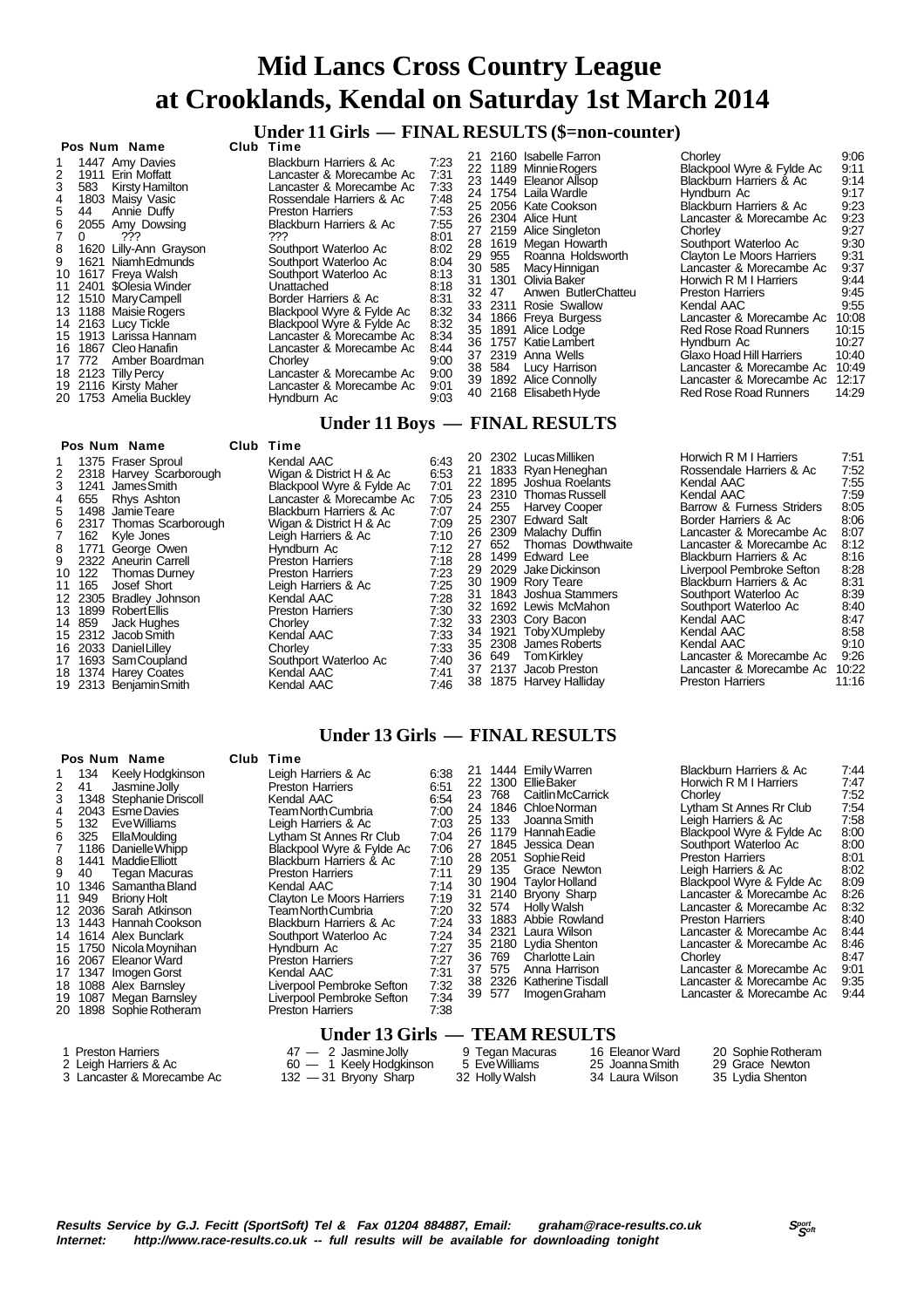### **Under 11 Girls — FINAL RESULTS (\$=non-counter)**

| Pos Num Name                                                                                                                                                                                                                                                                                                                                                                                                                                                                                                             | Club Time                                                                                                                                                                                                                                                                                                                                                                                                                                                                                                |                                                                                                                                                              |    |                           |                                                                                                                                                                                                                                                                                                                                                                                                                                                                                            |                                                                                                                                                                                                                                                                                                                                                                                                                                                                                                             |                                                                                                                                                                     |
|--------------------------------------------------------------------------------------------------------------------------------------------------------------------------------------------------------------------------------------------------------------------------------------------------------------------------------------------------------------------------------------------------------------------------------------------------------------------------------------------------------------------------|----------------------------------------------------------------------------------------------------------------------------------------------------------------------------------------------------------------------------------------------------------------------------------------------------------------------------------------------------------------------------------------------------------------------------------------------------------------------------------------------------------|--------------------------------------------------------------------------------------------------------------------------------------------------------------|----|---------------------------|--------------------------------------------------------------------------------------------------------------------------------------------------------------------------------------------------------------------------------------------------------------------------------------------------------------------------------------------------------------------------------------------------------------------------------------------------------------------------------------------|-------------------------------------------------------------------------------------------------------------------------------------------------------------------------------------------------------------------------------------------------------------------------------------------------------------------------------------------------------------------------------------------------------------------------------------------------------------------------------------------------------------|---------------------------------------------------------------------------------------------------------------------------------------------------------------------|
| 1447 Amy Davies<br>1911 Erin Moffatt<br>2<br>583 Kirsty Hamilton<br>3<br>1803 Maisy Vasic<br>4<br>Annie Duffy<br>44<br>5<br>2055 Amy Dowsing<br>6.<br>???<br>$\Omega$<br>8<br>1620 Lilly-Ann Grayson<br>1621 Niamh Edmunds<br>1617 Freva Walsh<br>10<br>2401 \$Olesia Winder<br>11<br>1510 Mary Campell<br>12<br>13 1188 Maisie Rogers<br>14 2163 Lucy Tickle<br>15 1913 Larissa Hannam<br>1867 Cleo Hanafin<br>16.<br>Amber Boardman<br>17 772<br>18 2123 Tilly Percy<br>19 2116 Kirsty Maher<br>20 1753 Amelia Buckley | <b>Blackburn Harriers &amp; Ac</b><br>Lancaster & Morecambe Ac<br>Lancaster & Morecambe Ac<br>Rossendale Harriers & Ac<br><b>Preston Harriers</b><br>Blackburn Harriers & Ac<br>???<br>Southport Waterloo Ac<br>Southport Waterloo Ac<br>Southport Waterloo Ac<br>Unattached<br>Border Harriers & Ac<br>Blackpool Wyre & Fylde Ac<br>Blackpool Wyre & Fylde Ac<br>Lancaster & Morecambe Ac<br>Lancaster & Morecambe Ac<br>Chorley<br>Lancaster & Morecambe Ac<br>Lancaster & Morecambe Ac<br>Hyndburn Ac | 7:23<br>7:31<br>7:33<br>7:48<br>7:53<br>7:55<br>8:01<br>8:02<br>8:04<br>8:13<br>8:18<br>8:31<br>8:32<br>8:32<br>8:34<br>8:44<br>9:00<br>9:00<br>9:01<br>9.03 | 28 | 30 585<br>32 47<br>38 584 | 21 2160 Isabelle Farron<br>22 1189 Minnie Rogers<br>23 1449 Eleanor Allsop<br>24 1754 Laila Wardle<br>25 2056 Kate Cookson<br>26 2304 Alice Hunt<br>27 2159 Alice Singleton<br>1619 Megan Howarth<br>29 955 Roanna Holdsworth<br>Macy Hinnigan<br>31 1301 Olivia Baker<br>Anwen ButlerChatteu<br>33 2311 Rosie Swallow<br>34 1866 Freya Burgess<br>35 1891 Alice Lodge<br>36 1757 Katie Lambert<br>37 2319 Anna Wells<br>Lucy Harrison<br>39 1892 Alice Connolly<br>40 2168 Elisabeth Hyde | Chorley<br>Blackpool Wyre & Fylde Ac<br>Blackburn Harriers & Ac<br>Hyndburn Ac<br>Blackburn Harriers & Ac<br>Lancaster & Morecambe Ac<br>Chorley<br>Southport Waterloo Ac<br><b>Clayton Le Moors Harriers</b><br>Lancaster & Morecambe Ac<br>Horwich R M I Harriers<br><b>Preston Harriers</b><br>Kendal AAC<br>Lancaster & Morecambe Ac<br><b>Red Rose Road Runners</b><br>Hyndburn Ac<br>Glaxo Hoad Hill Harriers<br>Lancaster & Morecambe Ac<br>Lancaster & Morecambe Ac<br><b>Red Rose Road Runners</b> | 9:06<br>9:11<br>9:14<br>9:17<br>9:23<br>9:23<br>9:27<br>9:30<br>9:31<br>9:37<br>9:44<br>9:45<br>9:55<br>10:08<br>10:15<br>10:27<br>10:40<br>10:49<br>12:17<br>14:29 |

#### **Under 11 Boys — FINAL RESULTS**

|                                                        | Pos Num Name                                                                                                                                                                                                                                                                                                                                                                                                                    | Club Time                                                                                                                                                                                                                                                                                                                                                                                                 |                                                                                                                                                      |  |                                                                                                                                                                                                                                                                                                                                                                                                                                                                                      |                                                                                                                                                                                                                                                                                                                                                                                                                                                               |                                                                                                                                                        |
|--------------------------------------------------------|---------------------------------------------------------------------------------------------------------------------------------------------------------------------------------------------------------------------------------------------------------------------------------------------------------------------------------------------------------------------------------------------------------------------------------|-----------------------------------------------------------------------------------------------------------------------------------------------------------------------------------------------------------------------------------------------------------------------------------------------------------------------------------------------------------------------------------------------------------|------------------------------------------------------------------------------------------------------------------------------------------------------|--|--------------------------------------------------------------------------------------------------------------------------------------------------------------------------------------------------------------------------------------------------------------------------------------------------------------------------------------------------------------------------------------------------------------------------------------------------------------------------------------|---------------------------------------------------------------------------------------------------------------------------------------------------------------------------------------------------------------------------------------------------------------------------------------------------------------------------------------------------------------------------------------------------------------------------------------------------------------|--------------------------------------------------------------------------------------------------------------------------------------------------------|
| 2<br>3<br>655<br>4<br>5.<br>10 122<br>11 165<br>14 859 | 1 1375 Fraser Sproul<br>2318 Harvey Scarborough<br>1241 James Smith<br>Rhvs Ashton<br>1498 JamieTeare<br>6 2317 Thomas Scarborough<br>162 Kyle Jones<br>8 1771 Georae Owen<br>9 2322 Aneurin Carrell<br>Thomas Durney<br>Josef Short<br>12 2305 Bradley Johnson<br>13 1899 Robert Ellis<br>Jack Hughes<br>15 2312 Jacob Smith<br>16 2033 Daniel Lilley<br>17 1693 SamCoupland<br>18 1374 Harey Coates<br>19 2313 Benjamin Smith | Kendal AAC<br>Wigan & District H & Ac<br>Blackpool Wyre & Fylde Ac<br>Lancaster & Morecambe Ac<br>Blackburn Harriers & Ac<br>Wigan & District H & Ac<br>Leigh Harriers & Ac<br>Hvndburn Ac<br><b>Preston Harriers</b><br><b>Preston Harriers</b><br>Leigh Harriers & Ac<br>Kendal AAC<br><b>Preston Harriers</b><br>Chorley<br>Kendal AAC<br>Chorley<br>Southport Waterloo Ac<br>Kendal AAC<br>Kendal AAC | 6:43<br>6.53<br>7:01<br>7:05<br>7:07<br>7:09<br>7:10<br>7:12<br>7:18<br>7:23<br>7:25<br>7:28<br>7:30<br>7:32<br>7:33<br>7:33<br>7:40<br>7:41<br>7:46 |  | 20 2302 Lucas Milliken<br>21 1833 Ryan Heneghan<br>22 1895 Joshua Roelants<br>23 2310 Thomas Russell<br>24 255 Harvey Cooper<br>25 2307 Edward Salt<br>26 2309 Malachy Duffin<br>27 652 Thomas Dowthwaite<br>28 1499 Edward Lee<br>29 2029 Jake Dickinson<br>30 1909 Rory Teare<br>31 1843 Joshua Stammers<br>32 1692 Lewis McMahon<br>33 2303 Cory Bacon<br>34 1921 Toby XUmpleby<br>35 2308 James Roberts<br>36 649 TomKirkley<br>37 2137 Jacob Preston<br>38 1875 Harvey Halliday | Horwich R M I Harriers<br>Rossendale Harriers & Ac<br>Kendal AAC<br>Kendal AAC<br>Barrow & Furness Striders<br>Border Harriers & Ac<br>Lancaster & Morecambe Ac<br>Lancaster & Morecambe Ac<br>Blackburn Harriers & Ac<br>Liverpool Pembroke Sefton<br>Blackburn Harriers & Ac<br>Southport Waterloo Ac<br>Southport Waterloo Ac<br>Kendal AAC<br>Kendal AAC<br>Kendal AAC<br>Lancaster & Morecambe Ac<br>Lancaster & Morecambe Ac<br><b>Preston Harriers</b> | 7:51<br>7:52<br>7:55<br>7:59<br>8:05<br>8:06<br>8:07<br>8:12<br>8:16<br>8:28<br>8:31<br>8:39<br>8:40<br>8:47<br>8:58<br>9:10<br>9:26<br>10:22<br>11:16 |
|                                                        |                                                                                                                                                                                                                                                                                                                                                                                                                                 |                                                                                                                                                                                                                                                                                                                                                                                                           |                                                                                                                                                      |  |                                                                                                                                                                                                                                                                                                                                                                                                                                                                                      |                                                                                                                                                                                                                                                                                                                                                                                                                                                               |                                                                                                                                                        |

#### **Under 13 Girls — FINAL RESULTS**

|                                      | Pos Num Name                                                                                                                                                                                                                                                                                                                                                                                                                                                                                                     | Club Time                                                                                                                                                                                                                                                                                                                                                                                                                                                                                 |                                                                                                                                                              |                                        |                                                    |                                                                                                                                                                                                                                                                                                                                                                                                                    |                                                       |                                                                          |                                                                                                                                                                                                                                                                                                                                                                                                                   |                                                                                                                                                      |
|--------------------------------------|------------------------------------------------------------------------------------------------------------------------------------------------------------------------------------------------------------------------------------------------------------------------------------------------------------------------------------------------------------------------------------------------------------------------------------------------------------------------------------------------------------------|-------------------------------------------------------------------------------------------------------------------------------------------------------------------------------------------------------------------------------------------------------------------------------------------------------------------------------------------------------------------------------------------------------------------------------------------------------------------------------------------|--------------------------------------------------------------------------------------------------------------------------------------------------------------|----------------------------------------|----------------------------------------------------|--------------------------------------------------------------------------------------------------------------------------------------------------------------------------------------------------------------------------------------------------------------------------------------------------------------------------------------------------------------------------------------------------------------------|-------------------------------------------------------|--------------------------------------------------------------------------|-------------------------------------------------------------------------------------------------------------------------------------------------------------------------------------------------------------------------------------------------------------------------------------------------------------------------------------------------------------------------------------------------------------------|------------------------------------------------------------------------------------------------------------------------------------------------------|
| 2<br>3<br>4<br>5<br>6<br>7<br>8<br>9 | 134<br>Keely Hodgkinson<br>41<br>Jasmine Jolly<br>1348 Stephanie Driscoll<br>2043 Esme Davies<br>132<br>Eve Williams<br>325<br>EllaMoulding<br>1186 Danielle Whipp<br>1441 Maddie Elliott<br>40<br>Tegan Macuras<br>10 1346 Samantha Bland<br>11 949<br><b>Briony Holt</b><br>12 2036 Sarah Atkinson<br>13 1443 Hannah Cookson<br>14 1614 Alex Bunclark<br>15 1750 Nicola Moynihan<br>16 2067 Eleanor Ward<br>17 1347 Imogen Gorst<br>18 1088 Alex Barnsley<br>19 1087 Megan Barnsley<br>20 1898 Sophie Rotheram | Leigh Harriers & Ac<br><b>Preston Harriers</b><br>Kendal AAC<br>Team North Cumbria<br>Leigh Harriers & Ac<br>Lytham St Annes Rr Club<br>Blackpool Wyre & Fylde Ac<br>Blackburn Harriers & Ac<br><b>Preston Harriers</b><br>Kendal AAC<br>Clayton Le Moors Harriers<br>Team North Cumbria<br>Blackburn Harriers & Ac<br>Southport Waterloo Ac<br>Hyndburn Ac<br><b>Preston Harriers</b><br>Kendal AAC<br>Liverpool Pembroke Sefton<br>Liverpool Pembroke Sefton<br><b>Preston Harriers</b> | 6:38<br>6:51<br>6:54<br>7:00<br>7:03<br>7:04<br>7:06<br>7:10<br>7:11<br>7:14<br>7:19<br>7:20<br>7:24<br>7:24<br>7:27<br>7:27<br>7:31<br>7:32<br>7:34<br>7:38 | 21<br>22<br>23<br>25<br>30<br>31<br>33 | 768<br>133<br>29 135<br>36 769<br>37 575<br>39 577 | 1444 Emily Warren<br>1300 EllieBaker<br>Caitlin McCarrick<br>24 1846 Chloe Norman<br>Joanna Smith<br>26 1179 Hannah Eadie<br>27 1845 Jessica Dean<br>28 2051 Sophie Reid<br>Grace Newton<br>1904 Taylor Holland<br>2140 Bryony Sharp<br>32 574 Holly Walsh<br>1883 Abbie Rowland<br>34 2321 Laura Wilson<br>35 2180 Lydia Shenton<br>Charlotte Lain<br>Anna Harrison<br>38 2326 Katherine Tisdall<br>Imogen Graham |                                                       | Chorley<br><b>Preston Harriers</b><br><b>Preston Harriers</b><br>Chorley | Blackburn Harriers & Ac<br>Horwich R M I Harriers<br>Lytham St Annes Rr Club<br>Leigh Harriers & Ac<br>Blackpool Wyre & Fylde Ac<br>Southport Waterloo Ac<br>Leigh Harriers & Ac<br>Blackpool Wyre & Fylde Ac<br>Lancaster & Morecambe Ac<br>Lancaster & Morecambe Ac<br>Lancaster & Morecambe Ac<br>Lancaster & Morecambe Ac<br>Lancaster & Morecambe Ac<br>Lancaster & Morecambe Ac<br>Lancaster & Morecambe Ac | 7:44<br>7:47<br>7:52<br>7:54<br>7:58<br>8:00<br>8:00<br>8:01<br>8:02<br>8:09<br>8:26<br>8:32<br>8:40<br>8:44<br>8:46<br>8:47<br>9:01<br>9:35<br>9:44 |
|                                      |                                                                                                                                                                                                                                                                                                                                                                                                                                                                                                                  | Under 13 Girls — TEAM RESULTS                                                                                                                                                                                                                                                                                                                                                                                                                                                             |                                                                                                                                                              |                                        |                                                    |                                                                                                                                                                                                                                                                                                                                                                                                                    |                                                       |                                                                          |                                                                                                                                                                                                                                                                                                                                                                                                                   |                                                                                                                                                      |
|                                      | 1 Preston Harriers<br>2 Leigh Harriers & Ac<br>3 Lancaster & Morecambe Ac                                                                                                                                                                                                                                                                                                                                                                                                                                        | $47 - 2$ Jasmine Jolly<br>60 - 1 Keely Hodgkinson<br>$132 - 31$ Bryony Sharp                                                                                                                                                                                                                                                                                                                                                                                                              |                                                                                                                                                              |                                        | 5 Eve Williams<br>32 Holly Walsh                   | 9 Tegan Macuras                                                                                                                                                                                                                                                                                                                                                                                                    | 16 Eleanor Ward<br>25 Joanna Smith<br>34 Laura Wilson |                                                                          | 20 Sophie Rotheram<br>29 Grace Newton<br>35 Lydia Shenton                                                                                                                                                                                                                                                                                                                                                         |                                                                                                                                                      |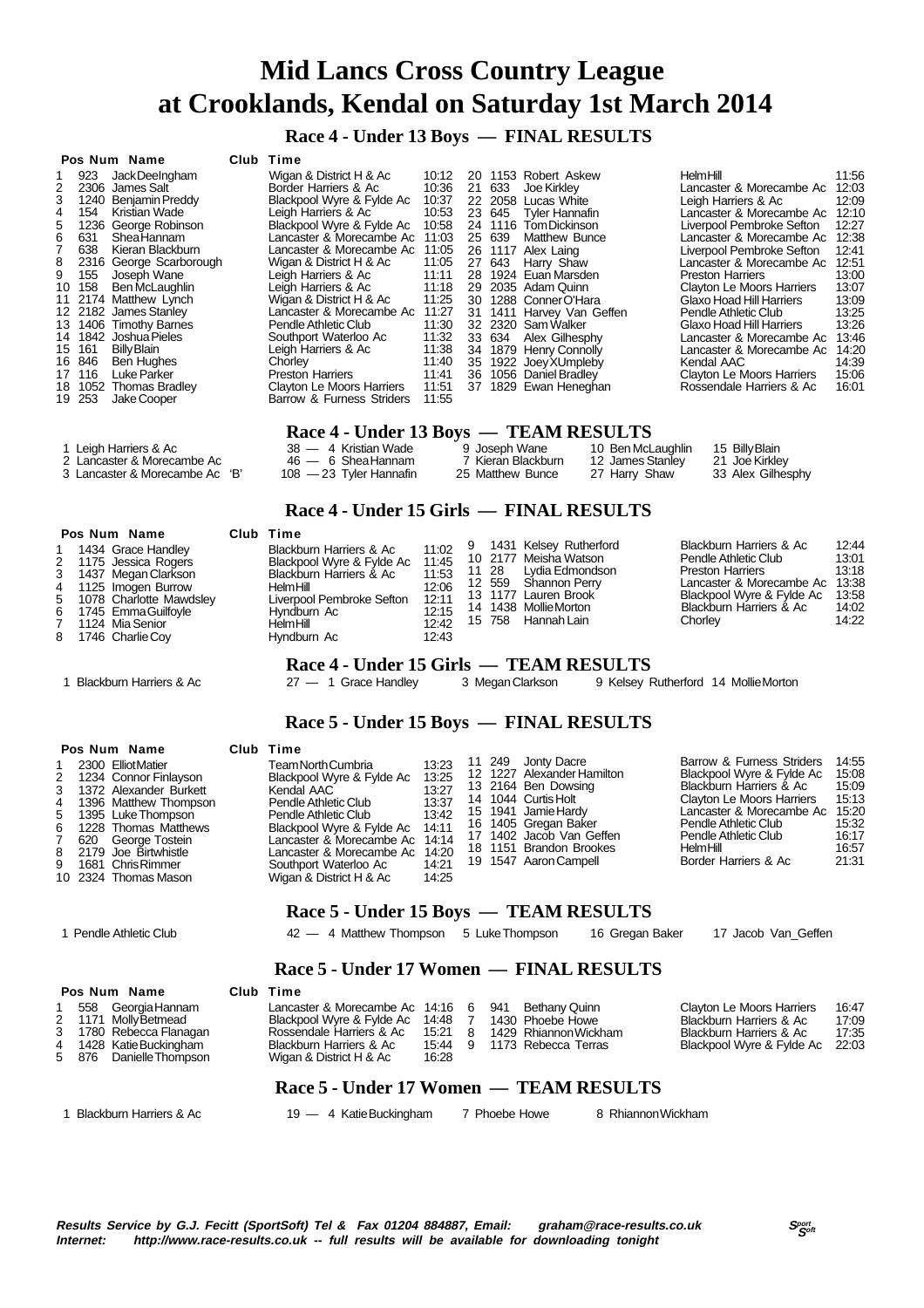**Race 4 - Under 13 Boys — FINAL RESULTS**

#### **Pos Num Name Club Time** 1 923 Jack DeeIngham Wigan & District H & Ac 10:12 2 2306 James Salt Border Harriers & Ac 10:36<br>3 1240 Benjamin Preddy Blackpool Wyre & Fylde Ac 10:37 3 1240 Benjamin Preddy Blackpool Wyre & Fylde Ac 10:37 4 154 Kristian Wade Leigh Harriers & Ac 10:53<br>5 1236 George Robinson Blackpool Wyre & Fylde Ac 10:58 5 1236 George Robinson Blackpool Wyre & Fylde Ac 10:58<br>6 631 Shea Hannam Lancaster & Morecambe Ac 11:03<br>7 638 Kieran Blackburn Lancaster & Morecambe Ac 11:05 6 631 Shea Hannam Lancaster & Morecambe Ac 11:03 7 638 Kieran Blackburn Lancaster & Morecambe Ac 11:05 8 2316 George Scarborough Wigan & District H & Ac 11:05<br>9 155 Joseph Wane Leigh Harriers & Ac 11:11 9 155 Joseph Wane Leigh Harriers & Ac 11:11 Leigh Harriers & Ac 11:18<br>Wigan & District H & Ac 11:25 11 2174 Matthew Lynch Wigan & District H & Ac 11:25<br>12 2182 James Stanley Lancaster & Morecambe Ac 11:27<br>13 1406 Timothy Barnes Pendle Athletic Club 11:30 12 2182 James Stanley Lancaster & Morecambe Ac 11:27 13 1406 Timothy Barnes Pendle Athletic Club 11:30 14 1842 Joshua Pieles **14 1842 Joshua Pieles 14 1842**<br>15 161 BillyBlain **Southport Waterloo Ac** 11:32 15 161 Billy Blain Leigh Harriers & Ac 11:38<br>16 846 Ben Hughes Chorley 11:40 16 846 Ben Hughes Chorley Chorley 11:40<br>17 116 Luke Parker Chorles Preston Harriers 11:41 17 116 Luke Parker Preston Harriers 11:41<br>18 1052 Thomas Bradley Clayton Le Moors Harriers 11:51 18 1052 Thomas Bradley Clayton Le Moors Harriers 11:51 Barrow & Furness Striders 20 1153 Robert Askew Helm Hill 11:56<br>21 633 Joe Kirkley **11:56** Lancaster & Morecambe Ac 12:03 21 633 Joe Kirkley Lancaster & Morecambe Ac 12:03 22 2058 Lucas White Leigh Harriers & Ac 12:09 23 645 Tyler Hannafin Lancaster & Morecambe Ac 12:10 Liverpool Pembroke Sefton 12:27<br>Lancaster & Morecambe Ac. 12:38 Lancaster & Morecambe Ac 12:38<br>Liverpool Pembroke Sefton 12:41 26 12.56<br>26 Liverpool Pembroke Sefton 12:41<br>251 Lancaster & Morecambe Ac 27 639 Matthew Bunce<br>
26 1117 Alex Laing<br>
27 643 Harry Shaw Lancaster & Morecambe Ac 12:31<br>
28 1924 Euan Marsden<br>
28 1924 Euan Marsden<br>
28 1924 Euan Marsden<br>
28 1924 Euan Marsden<br>
29 1924 Euan Marsden<br>
29 1924 Euan Marsden 28 1924 Euan Marsden **Preston Harriers 13:00**<br>29 2035 Adam Quinn Clayton Le Moors Harriers 13:00 29 2035 Adam Quinn Clayton Le Moors Harriers 13:07 30 1288 Conner O'Hara Glaxo Hoad Hill Harriers 13:09 31 1411 Harvey Van Geffen Pendle Athletic Club 13:25<br>32 2320 Sam Walker Glaxo Hoad Hill Harriers 13:26<br>33 634 Alex Gilhesphy I ancaster & Morecambe Ac 13:46 32 2320 Sam Walker<br>33 634 Alex Gilhesphy Experience Figure Francisco<br>Lancaster & Morecambe Ac 13:46<br>Lancaster & Morecambe Ac 14:20 34 1879 Henry Connolly Lancaster & Morecambe Ac 14:20 35 1922 Joey XUmpleby Kendal AAC 14:39 36 1056 Daniel Bradley Clayton Le Moors Harriers 15:06 37 1829 Ewan Heneghan **Race 4 - Under 13 Boys — TEAM RESULTS**<br>38 — 4 Kristian Wade 9 Joseph Wane 10 Ben McLaughlin 1 Leigh Harriers & Ac 38 — 4 Kristian Wade 9 Joseph Wane 10 Ben McLaughlin 15 Billy Blain<br>2 Lancaster & Morecambe Ac 3 46 — 6 Shea Hannam 7 Kieran Blackburn 12 James Stanley 21 Joe Kirkley<br>3 Lancaster & Morecambe Ac 'B' 10 2 Lancaster & Morecambe Ac 46 — 6 Shea Hannam 7 Kieran Blackburn 12 James Stanley 21 Joe Kirkley 3 Lancaster & Morecambe Ac 'B'  **Race 4 - Under 15 Girls — FINAL RESULTS Pos Num Name Club Time** 1434 Grace Handley Blackburn Harriers & Ac 11:02<br>1175 Jessica Rogers Blackpool Wyre & Fylde Ac 11:45 2 1175 Jessica Rogers Blackpool Wyre & Fylde Ac 11:45 3 1437 Megan Clarkson Blackburn Harriers & Ac 11:53 12:06 1125 Imogen Burrow 12:06<br>12:11 1078 Charlotte Mawdslev 12:06 Liverpool Pembroke Sefton 5 1078 Charlotte Mawdsley Liverpool Pembroke Sefton 12:11 6 1745 Emma Guilfoyle Hyndburn Ac 12:15 7 1124 Mia Senior Helm Hill 12:42 1746 Charlie Coy 9 1431 Kelsey Rutherford Blackburn Harriers & Ac 12:44 10 2177 Meisha Watson **Pendle Athletic Club 13:01**<br>11 28 Lydia Edmondson Preston Harriers 13:18 11 28 Lydia Edmondson Preston Harriers 13:18<br>12 559 Shannon Perry Lancaster & Morecambe Ac 13:38 12 559 Shannon Perry Lancaster & Morecambe Ac 13:38 Blackpool Wyre & Fylde Ac 13:58<br>Blackburn Harriers & Ac 14:02 14 1438 Mollie Morton Blackburn Harriers & Ac 14:02 15 758 Hannah Lain Chorley 14:22  **Race 4 - Under 15 Girls — TEAM RESULTS** 1 Blackburn Harriers & Ac 27 — 1 Grace Handley 3 Megan Clarkson 9 Kelsey Rutherford 14 Mollie Morton

#### **Race 5 - Under 15 Boys — FINAL RESULTS**

| Pos Num Name<br>1 2300 Elliot Matier<br>2 1234 Connor Finlayson<br>3 1372 Alexander Burkett<br>4 1396 Matthew Thompson<br>5 1395 Luke Thompson<br>6 1228 Thomas Matthews<br>7 620 Georae Tostein<br>8 2179 Joe Birtwhistle<br>9 1681 Chris Rimmer<br>10 2324 Thomas Mason |  | Club Time<br>Team North Cumbria<br>Blackpool Wyre & Fylde Ac<br>Kendal AAC<br>Pendle Athletic Club<br>Pendle Athletic Club<br>Blackpool Wyre & Fylde Ac 14:11<br>Lancaster & Morecambe Ac 14:14<br>Lancaster & Morecambe Ac 14:20<br>Southport Waterloo Ac<br>Wigan & District H & Ac | 13:23<br>13:25<br>13:27<br>13:37<br>13:42<br>14:21<br>14:25 |  |  | 11 249 Jonty Dacre<br>12 1227 Alexander Hamilton<br>13 2164 Ben Dowsing<br>14 1044 Curtis Holt<br>15 1941 Jamie Hardy<br>16 1405 Gregan Baker<br>17 1402 Jacob Van Geffen<br>18 1151 Brandon Brookes<br>19 1547 Aaron Campell |  | Barrow & Furness Striders<br>Blackpool Wyre & Fylde Ac<br>Blackburn Harriers & Ac<br>Clayton Le Moors Harriers<br>Lancaster & Morecambe Ac<br>Pendle Athletic Club<br>Pendle Athletic Club<br>HelmHill<br>Border Harriers & Ac | 14:55<br>15:08<br>15:09<br>15:13<br>15.20<br>15:32<br>16:17<br>16:57<br>21:31 |
|---------------------------------------------------------------------------------------------------------------------------------------------------------------------------------------------------------------------------------------------------------------------------|--|---------------------------------------------------------------------------------------------------------------------------------------------------------------------------------------------------------------------------------------------------------------------------------------|-------------------------------------------------------------|--|--|-------------------------------------------------------------------------------------------------------------------------------------------------------------------------------------------------------------------------------|--|--------------------------------------------------------------------------------------------------------------------------------------------------------------------------------------------------------------------------------|-------------------------------------------------------------------------------|
|---------------------------------------------------------------------------------------------------------------------------------------------------------------------------------------------------------------------------------------------------------------------------|--|---------------------------------------------------------------------------------------------------------------------------------------------------------------------------------------------------------------------------------------------------------------------------------------|-------------------------------------------------------------|--|--|-------------------------------------------------------------------------------------------------------------------------------------------------------------------------------------------------------------------------------|--|--------------------------------------------------------------------------------------------------------------------------------------------------------------------------------------------------------------------------------|-------------------------------------------------------------------------------|

#### **Race 5 - Under 15 Boys — TEAM RESULTS**

1 Pendle Athletic Club **42 — 4 Matthew Thompson** 5 Luke Thompson 16 Gregan Baker 17 Jacob Van Geffen

#### **Race 5 - Under 17 Women — FINAL RESULTS**

 **Pos Num Name Club Time**

|  | 558 Georgia Hannam      | Lancaster & Morecambe Ac 14:16 6 941 Bethany Quinn |         |     |                       | <b>Clayton Le Moors Harriers</b> | 16:47 |
|--|-------------------------|----------------------------------------------------|---------|-----|-----------------------|----------------------------------|-------|
|  | 2 1171 Molly Betmead    | Blackpool Wyre & Fylde Ac 14:48                    |         |     | 1430 Phoebe Howe      | Blackburn Harriers & Ac          | 17:09 |
|  | 3 1780 Rebecca Flanagan | Rossendale Harriers & Ac                           | 15:21   | - 8 | 1429 Rhiannon Wickham | Blackburn Harriers & Ac          | 17:35 |
|  | 4 1428 Katie Buckingham | Blackburn Harriers & Ac                            | 15:44 9 |     | 1173 Rebecca Terras   | Blackpool Wyre & Fylde Ac 22:03  |       |
|  | 5 876 Danielle Thompson | Wigan & District H & Ac                            | 16:28   |     |                       |                                  |       |

#### **Race 5 - Under 17 Women — TEAM RESULTS**

1 Blackburn Harriers & Ac 19 — 4 Katie Buckingham 7 Phoebe Howe 8 Rhiannon Wickham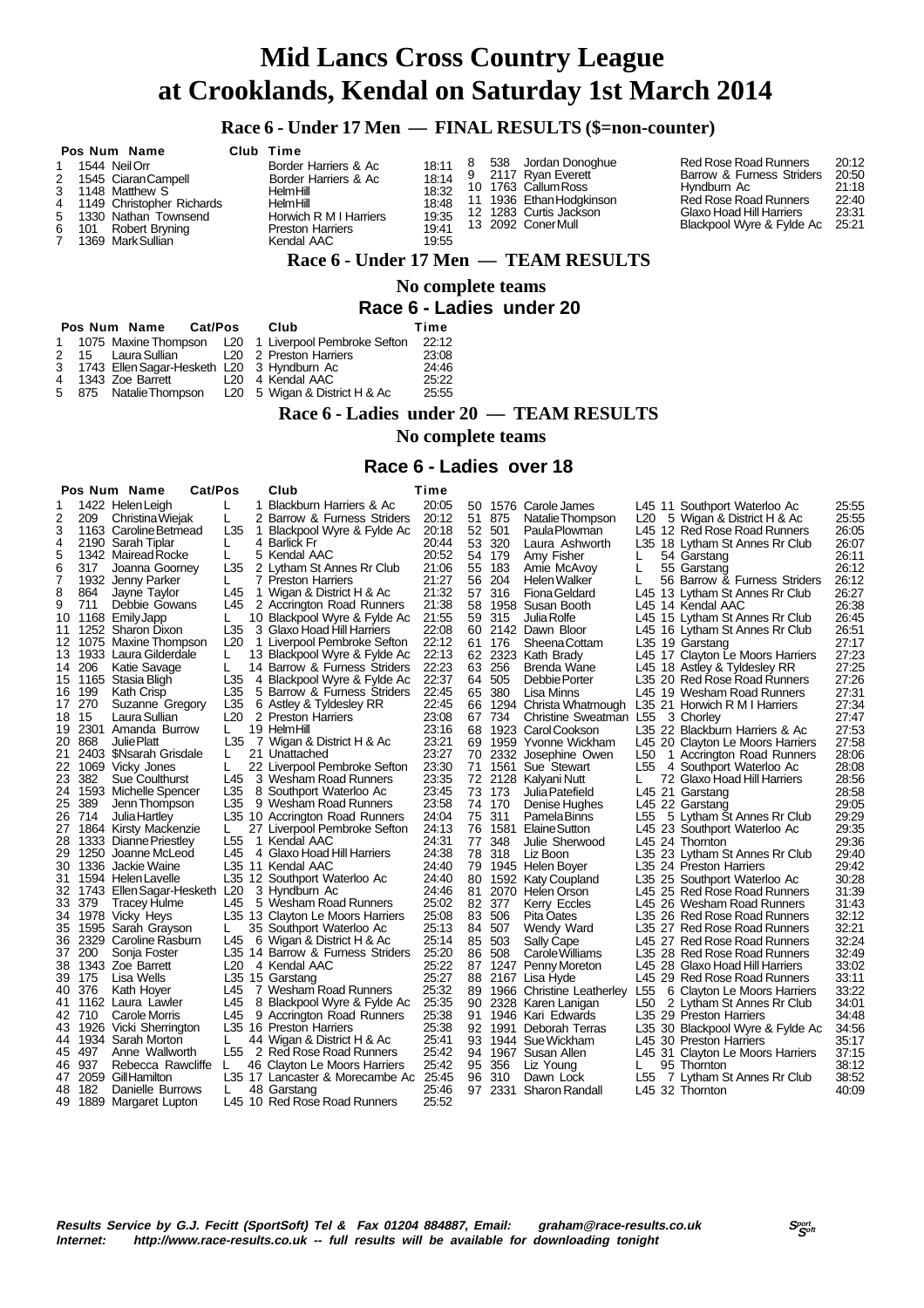### **Race 6 - Under 17 Men — FINAL RESULTS (\$=non-counter)**

| Pos Num Name<br>1 1544 Neil Orr<br>2 1545 Ciaran Campell<br>3 1148 Matthew S<br>4 1149 Christopher Richards<br>5 1330 Nathan Townsend<br>6 101 Robert Bryning<br>7 1369 MarkSullian | Club Time<br>Border Harriers & Ac<br>Border Harriers & Ac<br>HelmHill<br>HelmHill<br>Horwich R M I Harriers<br><b>Preston Harriers</b><br>Kendal AAC | 18:11<br>18:32<br>18:48<br>19:35<br>19:41<br>19:55 | 8 | 538 Jordan Donoghue<br>18:14 9 2117 Ryan Everett<br>10 1763 Callum Ross<br>11 1936 Ethan Hodgkinson<br>12 1283 Curtis Jackson<br>13 2092 ConerMull | Red Rose Road Runners<br>Barrow & Furness Striders<br>Hyndburn Ac<br><b>Red Rose Road Runners</b><br>Glaxo Hoad Hill Harriers<br>Blackpool Wyre & Fylde Ac | 20:12<br>20:50<br>21:18<br>22:40<br>23:31<br>25:21 |
|-------------------------------------------------------------------------------------------------------------------------------------------------------------------------------------|------------------------------------------------------------------------------------------------------------------------------------------------------|----------------------------------------------------|---|----------------------------------------------------------------------------------------------------------------------------------------------------|------------------------------------------------------------------------------------------------------------------------------------------------------------|----------------------------------------------------|
|                                                                                                                                                                                     |                                                                                                                                                      |                                                    |   | Race 6 - Under 17 Men — TEAM RESULTS                                                                                                               |                                                                                                                                                            |                                                    |

#### **No complete teams Race 6 - Ladies under 20**

|  | Pos Num Name Cat/Pos                                   | Club | Time  |
|--|--------------------------------------------------------|------|-------|
|  | 1 1075 Maxine Thompson L20 1 Liverpool Pembroke Sefton |      | 22:12 |
|  | 2 15 Laura Sullian L20 2 Preston Harriers              |      | 23:08 |
|  | 3 1743 Ellen Sagar-Hesketh L20 3 Hyndburn Ac           |      | 24:46 |
|  | 4 1343 Zoe Barrett L20 4 Kendal AAC                    |      | 25:22 |
|  | 5 875 Natalie Thompson L20 5 Wigan & District H & Ac   |      | 25:55 |

#### **Race 6 - Ladies under 20 — TEAM RESULTS**

 **No complete teams**

#### **Race 6 - Ladies over 18**

|                                                                                                                                                                                                                |                                                                                                                       | Cat/Pos<br>Pos Num Name                                                                                                                                                                                                                                                                                                                                                                                                                                                                                                                                                                                                                                                                                                                                                                                                                                                                                             |                                                                                                                                                                                                                                                                                 |        | Club                                                                                                                                                                                                                                                                                                                                                                                                                                                                                                                                                                                                                                                                                                                                                                                                                                                                                                                                                                                                                                                                                                                                                                                      | Time                                                                                                                                                                                                                                                                                                                                                                                            |                                                                                                                                              |                                                                                                                                                                                             |                                                                                                                                                                                                                                                                                                                                                                                                                                                                                                                                                                                                                                                                                                                                                                                                                                                                                   |                                                                                                 |                                                                                                                                                                                                                                                                                                                                                                                                                                                                                                                                                                                                                                                                                                                                                                                                                                                                                                                                                                                                                                                                                                                                                                                                                                                                                                     |                                                                                                                                                                                                                                                                                                                                                                                        |
|----------------------------------------------------------------------------------------------------------------------------------------------------------------------------------------------------------------|-----------------------------------------------------------------------------------------------------------------------|---------------------------------------------------------------------------------------------------------------------------------------------------------------------------------------------------------------------------------------------------------------------------------------------------------------------------------------------------------------------------------------------------------------------------------------------------------------------------------------------------------------------------------------------------------------------------------------------------------------------------------------------------------------------------------------------------------------------------------------------------------------------------------------------------------------------------------------------------------------------------------------------------------------------|---------------------------------------------------------------------------------------------------------------------------------------------------------------------------------------------------------------------------------------------------------------------------------|--------|-------------------------------------------------------------------------------------------------------------------------------------------------------------------------------------------------------------------------------------------------------------------------------------------------------------------------------------------------------------------------------------------------------------------------------------------------------------------------------------------------------------------------------------------------------------------------------------------------------------------------------------------------------------------------------------------------------------------------------------------------------------------------------------------------------------------------------------------------------------------------------------------------------------------------------------------------------------------------------------------------------------------------------------------------------------------------------------------------------------------------------------------------------------------------------------------|-------------------------------------------------------------------------------------------------------------------------------------------------------------------------------------------------------------------------------------------------------------------------------------------------------------------------------------------------------------------------------------------------|----------------------------------------------------------------------------------------------------------------------------------------------|---------------------------------------------------------------------------------------------------------------------------------------------------------------------------------------------|-----------------------------------------------------------------------------------------------------------------------------------------------------------------------------------------------------------------------------------------------------------------------------------------------------------------------------------------------------------------------------------------------------------------------------------------------------------------------------------------------------------------------------------------------------------------------------------------------------------------------------------------------------------------------------------------------------------------------------------------------------------------------------------------------------------------------------------------------------------------------------------|-------------------------------------------------------------------------------------------------|-----------------------------------------------------------------------------------------------------------------------------------------------------------------------------------------------------------------------------------------------------------------------------------------------------------------------------------------------------------------------------------------------------------------------------------------------------------------------------------------------------------------------------------------------------------------------------------------------------------------------------------------------------------------------------------------------------------------------------------------------------------------------------------------------------------------------------------------------------------------------------------------------------------------------------------------------------------------------------------------------------------------------------------------------------------------------------------------------------------------------------------------------------------------------------------------------------------------------------------------------------------------------------------------------------|----------------------------------------------------------------------------------------------------------------------------------------------------------------------------------------------------------------------------------------------------------------------------------------------------------------------------------------------------------------------------------------|
| 1<br>2<br>3<br>4<br>5<br>6<br>7<br>8<br>9<br>10<br>11<br>12<br>13<br>14<br>16<br>17<br>18 15<br>19<br>20<br>21<br>22<br>23<br>24<br>25<br>27<br>28<br>29<br>31<br>32<br>35<br>36<br>37<br>38<br>39<br>40<br>41 | 209<br>317<br>864<br>711<br>206<br>199<br>270<br>868<br>382<br>389<br>26 714<br>33 379<br>200<br>175<br>376<br>42 710 | 1422 Helen Leigh<br>Christina Wiejak<br>1163 Caroline Betmead<br>2190 Sarah Tiplar<br>1342 Mairead Rocke<br>Joanna Goorney<br>1932 Jenny Parker<br>Jayne Taylor<br>Debbie Gowans<br>1168 EmilyJapp<br>1252 Sharon Dixon<br>1075 Maxine Thompson<br>1933 Laura Gilderdale<br>Katie Savage<br>15 1165 Stasia Bligh<br>Kath Crisp<br>Suzanne Gregory<br>Laura Sullian<br>2301 Amanda Burrow<br>Julie Platt<br>2403 \$Nsarah Grisdale<br>1069 Vicky Jones<br>Sue Coulthurst<br>1593 Michelle Spencer<br>Jenn Thompson<br>Julia Hartley<br>1864 Kirsty Mackenzie<br>1333 Dianne Priestley<br>1250 Joanne McLeod<br>30 1336 Jackie Waine<br>1594 Helen Lavelle<br>1743 Ellen Sagar-Hesketh<br><b>Tracey Hulme</b><br>34 1978 Vicky Heys<br>1595 Sarah Grayson<br>2329 Caroline Rasburn<br>Sonja Foster<br>1343 Zoe Barrett<br>Lisa Wells<br>Kath Hoyer<br>1162 Laura Lawler<br>Carole Morris<br>43 1926 Vicki Sherrington | L<br>L<br>L35<br>L<br>L<br>L35<br>L<br>L45<br>L45<br>L<br>L35<br>L <sub>20</sub><br>L.<br>L<br>L35<br>L35<br>L35<br>L20<br>L<br>L35<br>L<br>L<br>L45<br>L35<br>L35<br>L<br>L <sub>55</sub><br>L45<br>L <sub>20</sub><br>L45<br>L<br>L45<br>L <sub>20</sub><br>L45<br>L45<br>L45 | 1<br>1 | Blackburn Harriers & Ac<br>2 Barrow & Furness Striders<br>Blackpool Wyre & Fylde Ac<br>4 Barlick Fr<br>5 Kendal AAC<br>2 Lytham St Annes Rr Club<br>7 Preston Harriers<br>1 Wigan & District H & Ac<br>2 Accrington Road Runners<br>10 Blackpool Wyre & Fylde Ac<br>3 Glaxo Hoad Hill Harriers<br>1 Liverpool Pembroke Sefton<br>13 Blackpool Wyre & Fylde Ac<br>14 Barrow & Furness Striders<br>4 Blackpool Wyre & Fylde Ac<br>5 Barrow & Furness Striders<br>6 Astley & Tyldesley RR<br>2 Preston Harriers<br>19 HelmHill<br>7 Wigan & District H & Ac<br>21 Unattached<br>22 Liverpool Pembroke Sefton<br>3 Wesham Road Runners<br>8 Southport Waterloo Ac<br>9 Wesham Road Runners<br>L35 10 Accrington Road Runners<br>27 Liverpool Pembroke Sefton<br>1 Kendal AAC<br>4 Glaxo Hoad Hill Harriers<br>L35 11 Kendal AAC<br>L35 12 Southport Waterloo Ac<br>3 Hyndburn Ac<br>5 Wesham Road Runners<br>L35 13 Clayton Le Moors Harriers<br>35 Southport Waterloo Ac<br>6 Wigan & District H & Ac<br>L35 14 Barrow & Furness Striders<br>4 Kendal AAC<br>L35 15 Garstang<br>7 Wesham Road Runners<br>8 Blackpool Wyre & Fylde Ac<br>9 Accrington Road Runners<br>L35 16 Preston Harriers | 20:05<br>20:12<br>20:18<br>20:44<br>20:52<br>21:06<br>21.27<br>21:32<br>21:38<br>21:55<br>22:08<br>22:12<br>22:13<br>22:23<br>22:37<br>22:45<br>22:45<br>23:08<br>23:16<br>23:21<br>23:27<br>23:30<br>23:35<br>23:45<br>23:58<br>24:04<br>24:13<br>24:31<br>24:38<br>24:40<br>24:40<br>24:46<br>25:02<br>25:08<br>25:13<br>25:14<br>25:20<br>25:22<br>25:27<br>25:32<br>25:35<br>25:38<br>25:38 | 51<br>53<br>54<br>55<br>56<br>57<br>58<br>59<br>62<br>63<br>64<br>66<br>68<br>76<br>78<br>79<br>80<br>84<br>85<br>86<br>88<br>89<br>90<br>91 | 875<br>52 501<br>320<br>179<br>183<br>204<br>316<br>315<br>61 176<br>256<br>505<br>65 380<br>67 734<br>73 173<br>74 170<br>75 311<br>77 348<br>318<br>82 377<br>83 506<br>507<br>503<br>508 | 50 1576 Carole James<br>Natalie Thompson<br>Paula Plowman<br>Laura Ashworth<br>Amy Fisher<br>Amie McAvoy<br>Helen Walker<br><b>Fiona Geldard</b><br>1958 Susan Booth<br>Julia Rolfe<br>60 2142 Dawn Bloor<br><b>SheenaCottam</b><br>2323 Kath Brady<br>Brenda Wane<br>Debbie Porter<br>Lisa Minns<br>1294 Christa Whatmough<br>Christine Sweatman L55<br>1923 Carol Cookson<br>69 1959 Yvonne Wickham<br>70 2332 Josephine Owen<br>71 1561 Sue Stewart<br>72 2128 Kalyani Nutt<br>Julia Patefield<br>Denise Hughes<br>Pamela Binns<br>1581 Elaine Sutton<br>Julie Sherwood<br>Liz Boon<br>1945 Helen Boyer<br>1592 Katy Coupland<br>81 2070 Helen Orson<br>Kerry Eccles<br>Pita Oates<br>Wendy Ward<br>Sally Cape<br>Carole Williams<br>87 1247 Penny Moreton<br>2167 Lisa Hyde<br>1966 Christine Leatherley<br>2328 Karen Lanigan<br>1946 Kari Edwards<br>92 1991 Deborah Terras | L20<br>L<br>L<br>L<br>L50<br>L <sub>55</sub><br>L.<br>L55<br>L <sub>55</sub><br>L <sub>50</sub> | L45 11 Southport Waterloo Ac<br>5 Wigan & District H & Ac<br>L45 12 Red Rose Road Runners<br>L35 18 Lytham St Annes Rr Club<br>54 Garstang<br>55 Garstang<br>56 Barrow & Furness Striders<br>L45 13 Lytham St Annes Rr Club<br>L45 14 Kendal AAC<br>L45 15 Lytham St Annes Rr Club<br>L45 16 Lytham St Annes Rr Club<br>L35 19 Garstang<br>L45 17 Clayton Le Moors Harriers<br>L45 18 Astley & Tyldesley RR<br>L35 20 Red Rose Road Runners<br>L45 19 Wesham Road Runners<br>L35 21 Horwich R M I Harriers<br>3 Chorley<br>L35 22 Blackburn Harriers & Ac<br>L45 20 Clayton Le Moors Harriers<br>1 Accrington Road Runners<br>4 Southport Waterloo Ac<br>72 Glaxo Hoad Hill Harriers<br>L45 21 Garstang<br>L45 22 Garstang<br>5 Lytham Št Annes Rr Club<br>L45 23 Southport Waterloo Ac<br>L45 24 Thornton<br>L35 23 Lytham St Annes Rr Club<br>L35 24 Preston Harriers<br>L35 25 Southport Waterloo Ac<br>L45 25 Red Rose Road Runners<br>L45 26 Wesham Road Runners<br>L35 26 Red Rose Road Runners<br>L35 27 Red Rose Road Runners<br>L45 27 Red Rose Road Runners<br>L35 28 Red Rose Road Runners<br>L45 28 Glaxo Hoad Hill Harriers<br>L45 29 Red Rose Road Runners<br>6 Clayton Le Moors Harriers<br>2 Lytham St Annes Rr Club<br>L35 29 Preston Harriers<br>L35 30 Blackpool Wyre & Fylde Ac | 25:55<br>25:55<br>26:05<br>26:07<br>26:11<br>26:12<br>26:12<br>26:27<br>26:38<br>26:45<br>26:51<br>27:17<br>27:23<br>27:25<br>27:26<br>27:31<br>27:34<br>27:47<br>27:53<br>27:58<br>28:06<br>28:08<br>28:56<br>28:58<br>29:05<br>29:29<br>29:35<br>29:36<br>29:40<br>29:42<br>30:28<br>31:39<br>31:43<br>32:12<br>32:21<br>32:24<br>32:49<br>33:02<br>33:11<br>33:22<br>34:01<br>34:56 |
|                                                                                                                                                                                                                |                                                                                                                       |                                                                                                                                                                                                                                                                                                                                                                                                                                                                                                                                                                                                                                                                                                                                                                                                                                                                                                                     |                                                                                                                                                                                                                                                                                 |        |                                                                                                                                                                                                                                                                                                                                                                                                                                                                                                                                                                                                                                                                                                                                                                                                                                                                                                                                                                                                                                                                                                                                                                                           |                                                                                                                                                                                                                                                                                                                                                                                                 |                                                                                                                                              |                                                                                                                                                                                             |                                                                                                                                                                                                                                                                                                                                                                                                                                                                                                                                                                                                                                                                                                                                                                                                                                                                                   |                                                                                                 |                                                                                                                                                                                                                                                                                                                                                                                                                                                                                                                                                                                                                                                                                                                                                                                                                                                                                                                                                                                                                                                                                                                                                                                                                                                                                                     | 34:48                                                                                                                                                                                                                                                                                                                                                                                  |
|                                                                                                                                                                                                                |                                                                                                                       | 44 1934 Sarah Morton                                                                                                                                                                                                                                                                                                                                                                                                                                                                                                                                                                                                                                                                                                                                                                                                                                                                                                | L                                                                                                                                                                                                                                                                               |        | 44 Wigan & District H & Ac                                                                                                                                                                                                                                                                                                                                                                                                                                                                                                                                                                                                                                                                                                                                                                                                                                                                                                                                                                                                                                                                                                                                                                | 25:41                                                                                                                                                                                                                                                                                                                                                                                           | 93                                                                                                                                           |                                                                                                                                                                                             | 1944 Sue Wickham                                                                                                                                                                                                                                                                                                                                                                                                                                                                                                                                                                                                                                                                                                                                                                                                                                                                  |                                                                                                 | L45 30 Preston Harriers                                                                                                                                                                                                                                                                                                                                                                                                                                                                                                                                                                                                                                                                                                                                                                                                                                                                                                                                                                                                                                                                                                                                                                                                                                                                             | 35:17                                                                                                                                                                                                                                                                                                                                                                                  |
|                                                                                                                                                                                                                | 45 497<br>46 937                                                                                                      | Anne Wallworth<br>Rebecca Rawcliffe                                                                                                                                                                                                                                                                                                                                                                                                                                                                                                                                                                                                                                                                                                                                                                                                                                                                                 | L55<br>L                                                                                                                                                                                                                                                                        |        | 2 Red Rose Road Runners<br>46 Clayton Le Moors Harriers                                                                                                                                                                                                                                                                                                                                                                                                                                                                                                                                                                                                                                                                                                                                                                                                                                                                                                                                                                                                                                                                                                                                   | 25:42<br>25:42                                                                                                                                                                                                                                                                                                                                                                                  | 95                                                                                                                                           | 356                                                                                                                                                                                         | 94 1967 Susan Allen<br>Liz Young                                                                                                                                                                                                                                                                                                                                                                                                                                                                                                                                                                                                                                                                                                                                                                                                                                                  | L                                                                                               | L45 31 Clayton Le Moors Harriers<br>95 Thornton                                                                                                                                                                                                                                                                                                                                                                                                                                                                                                                                                                                                                                                                                                                                                                                                                                                                                                                                                                                                                                                                                                                                                                                                                                                     | 37:15<br>38:12                                                                                                                                                                                                                                                                                                                                                                         |
| 48                                                                                                                                                                                                             | 182                                                                                                                   | 47 2059 Gill Hamilton<br>Danielle Burrows                                                                                                                                                                                                                                                                                                                                                                                                                                                                                                                                                                                                                                                                                                                                                                                                                                                                           | L                                                                                                                                                                                                                                                                               |        | L35 17 Lancaster & Morecambe Ac<br>48 Garstang                                                                                                                                                                                                                                                                                                                                                                                                                                                                                                                                                                                                                                                                                                                                                                                                                                                                                                                                                                                                                                                                                                                                            | 25:45<br>25:46                                                                                                                                                                                                                                                                                                                                                                                  | 96                                                                                                                                           | 310                                                                                                                                                                                         | Dawn Lock<br>97 2331 Sharon Randall                                                                                                                                                                                                                                                                                                                                                                                                                                                                                                                                                                                                                                                                                                                                                                                                                                               | L55                                                                                             | 7 Lytham St Annes Rr Club<br>L45 32 Thornton                                                                                                                                                                                                                                                                                                                                                                                                                                                                                                                                                                                                                                                                                                                                                                                                                                                                                                                                                                                                                                                                                                                                                                                                                                                        | 38:52<br>40:09                                                                                                                                                                                                                                                                                                                                                                         |
|                                                                                                                                                                                                                |                                                                                                                       | 49 1889 Margaret Lupton                                                                                                                                                                                                                                                                                                                                                                                                                                                                                                                                                                                                                                                                                                                                                                                                                                                                                             |                                                                                                                                                                                                                                                                                 |        | L45 10 Red Rose Road Runners                                                                                                                                                                                                                                                                                                                                                                                                                                                                                                                                                                                                                                                                                                                                                                                                                                                                                                                                                                                                                                                                                                                                                              | 25:52                                                                                                                                                                                                                                                                                                                                                                                           |                                                                                                                                              |                                                                                                                                                                                             |                                                                                                                                                                                                                                                                                                                                                                                                                                                                                                                                                                                                                                                                                                                                                                                                                                                                                   |                                                                                                 |                                                                                                                                                                                                                                                                                                                                                                                                                                                                                                                                                                                                                                                                                                                                                                                                                                                                                                                                                                                                                                                                                                                                                                                                                                                                                                     |                                                                                                                                                                                                                                                                                                                                                                                        |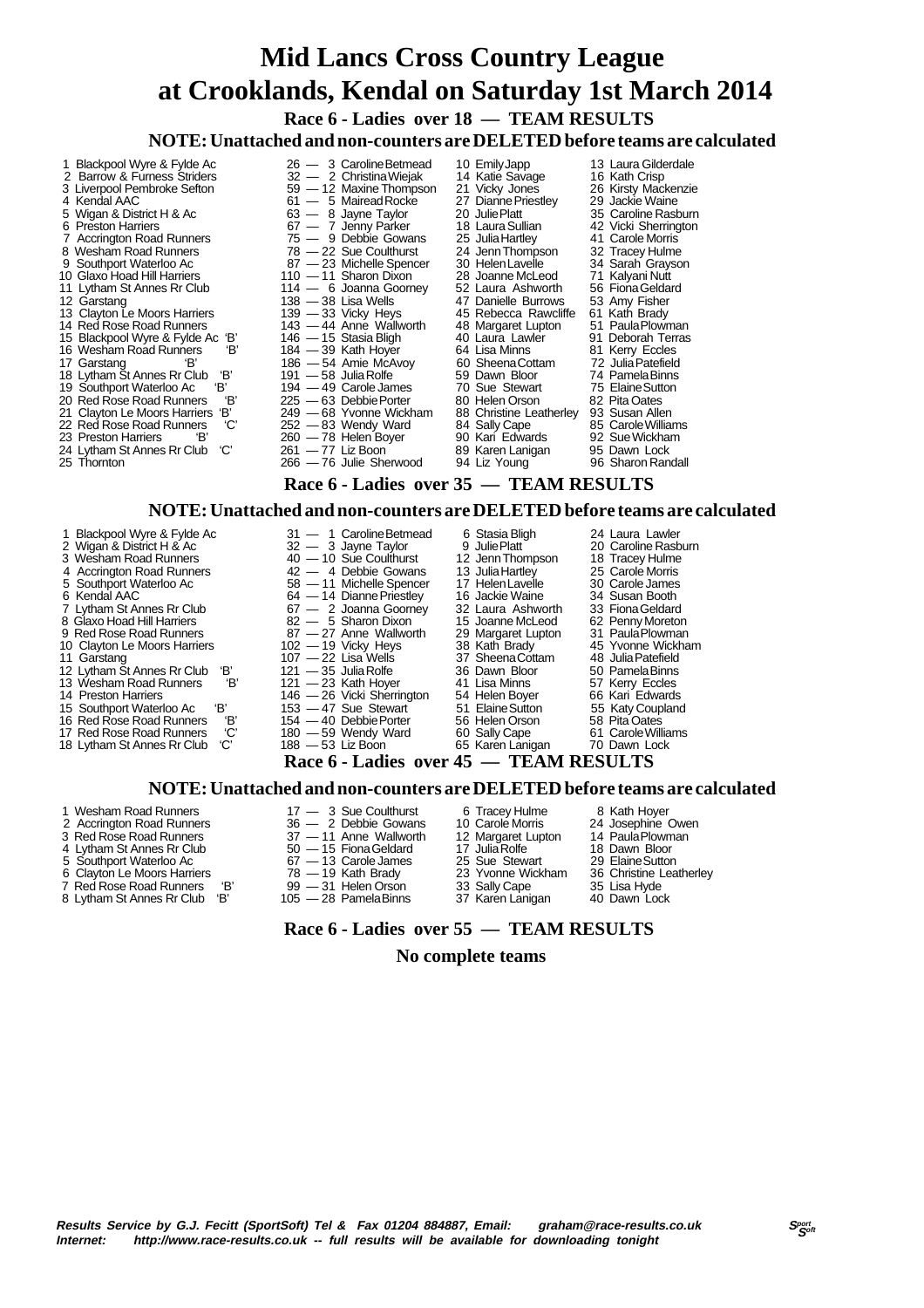**Race 6 - Ladies over 18 — TEAM RESULTS**

**NOTE: Unattached and non-counters are DELETED before teams are calculated**

1 Blackpool Wyre & Fylde Ac  $26 - 3$  Caroline Betmead 10 Emily Japp 13 Laura Gilderdale<br>2 Barrow & Furness Striders  $32 - 2$  Christina Wieiak 14 Katie Savage 16 Kath Crisp 2 Barrow & Furness Striders 32 — 2 Christina Wiejak 14 Katie Savage 16 Kath Crisp 26 Liverpool Pembroke Sefton 59 — 12 Maxime Thompson 21 Vicky Jones 26 Kirsty Macker<br>19 — 12 Maxine Thompson 21 Vicky Jones 26 Kirsty Macker<br>19 Mariead Rocke 27 Dianne Priestley 29 Jackie Waine 4 Kendal AAC 61 — 5 Mairead Rocke 27 Dianne Priestley 29 Jackie Waine 5 Wigan & District H & Ac 63 — 8 Jayne Taylor 20 Julie Platt 35 Caroline Rasburn<br>6 Preston Harriers 67 - 7 Jenny Parker 18 Laura Sullian 42 Vicki Sherrington 67 — 7 Jenny Parker 18 Laura Sullian 42 Vicki Sherring<br>
75 — 9 Debbie Gowans 25 Julia Hartley 41 Carole Morris<br>
78 — 22 Sue Coulthurst 24 Jenn Thompson 32 Tracey Hulme 7 Accrington Road Runners 75 — 9 Debbie Gowans 25 Julia Hartley 41 Carole Morris 8 Wesham Road Runners 78 — 22 Sue Coulthurst 24 Jenn Thompson 32 Tracey Hulme 9 Wesham Road Runners<br>
9 Southport Waterloo Ac 87 -23 Michelle Spencer 30 Helen Lavelle 34 Sarah Grayson<br>
10 Glaxo Hoad Hill Harriers 110 -11 Sharon Dixon 28 Joanne McLeod 71 Kalvani Nutt 10 Glaxo Hoad Hill Harriers 110 — 11 Sharon Dixon 28 Joanne McLeod 71 Kalyani Nutt<br>11 Lytham St Annes Rr Club 114 — 6 Joanna Goorney 52 Laura Ashworth 56 Fiona Geldard 11 Lytham St Annes Rr Club 114 — 6 Joanna Goorney 52 Laura Ashworth 56 Fiona Geldar<br>12 Garstang 114 - 6 Joanna Goorney 52 Laura Ashworth 56 Fiona Gelda<br>12 Garstang 138 - 38 Lisa Wells 47 Danielle Burrows 53 Amy Fisher 12 138 — 38 Lisa Wells **12 Amylon 138 — 38 Lisa Wells 139** — 33 Vicky Heys **47 Danielle Burrows** 53 Amy Fisher<br>139 — 33 Vicky Heys **45 Rebecca Rawcliffe 61 Kath Brady**<br>143 — 44 Anne Wallworth 48 Margaret Lupton 51 Paula Pl 13 Clayton Le Moors Harriers 139 — 33 Vicky Heys 45 Rebecca Rawcliffe 61 Kath Brady 14 Red Rose Road Runners 143 — 44 Anne Wallworth 48 Margaret Lupton 51 Paula Plowman 15 Blackpool Wyre & Fylde Ac 'B' 146 — 15 Stasia Bligh 10 Laura Lawler 91 Deborah Terras 16 Wesham Road Runners 16 Comment 16 Wesham Road Runners 18' 186 — 54 Amie McAvoy 60 Sheena Cottam 172 Julia Patefield 16 Wesham Road Runners  $16'$  184  $-39$  Kath Hoyer 64 Lisa Minns 81 Garstang  $17$  Garstang  $18'$  186  $-54$  Amie McAvov 60 Sheena Cottam 17 Garstang 'B' 186 — 54 Amie McAvoy 60 Sheena Cottam 72 Julia Patefield 18 Lytham St Annes Rr Club 'B' 191 — 58 Julia Rolfe 59 Dawn Bloor 74 Pamela Binns 19 Southport Waterloo Ac 'B' 194 — 49 Carole James 70 Sue Stewart 75 Elaine Sutton<br>20 Red Rose Road Runners 'B' 225 — 63 Debbie Porter 80 Helen Orson 82 Pita Oates 20 Red Rose Road Runners 'B' 225 — 63 Debbie Porter 80 Helen Orson 82 Pita Oates<br>21 Clayton Le Moors Harriers 'B' 249 — 68 Yvonne Wickham 88 Christine Leatherley 93 Susan Allen 21 Clayton Le Moors Harriers 'B' 249 - 68 Yvonne Wickham 88 Christine Leatherley 93 Susan Allen<br>22 Red Rose Road Runners 'C' 252 - 83 Wendy Ward 84 Sally Cape 85 Carole Williams<br>23 Preston Harriers 'B' 260 - 78 Helen Bover 22 Red Rose Road Runners 'C' 252 — 83 Wendy Ward 84 Sally Cape 85 Carole Williams 23 Preston Harriers 'B' 260 — 78 Helen Boyer 90 Kari Edwards 92 Sue Wickham 24 Lytham St Annes Rr Club 'C' 261 — 77 Liz Boon 89 Karen Lanigan 95 Dawn Lock  $-76$  Julie Sherwood  **Race 6 - Ladies over 35 — TEAM RESULTS**

#### **NOTE: Unattached and non-counters are DELETED before teams are calculated**

- 1 Blackpool Wyre & Fylde Ac 31 1 Caroline Betmead 6 Stasia Bligh 24 Laura Lawler<br>2 Wigan & District H & Ac 32 3 Jayne Taylor 9 Julie Platt 20 Caroline Rasburn 2 Wigan & District H & Ac  $32 - 3$  Jayne Taylor 9 Julie Platt 20 Caroline Rasburn 3 Wesham Road Runners 40 — 10 Sue Coulthurst 12 Jenn Thompson 18 Tracey Hulme 40 - 10 Sue Coulthurst 12 Jenn Thompson 18 Tracey Hulme<br>
42 - 4 Debbie Gowans 13 Julia Hartley 25 Carole Morris<br>
42 - 4 Debbie Gowans 13 Julia Hartley 25 Carole Morris<br>
5 Southport Waterloo Ac 58 - 11 Michelle Spencer 17 H Southport Waterloo Ac 58 — 11 Michelle Spencer 17 Helen Lavelle 30 Carole James<br>Kendal AAC 64 — 14 Dianne Priestley 16 Jackie Waine 34 Susan Booth 6 Kendal AAC 64 — 14 Dianne Priestley 16 Jackie Waine 34 Susan Booth 7 Lytham St Annes Rr Club 67 — 2 Joanna Goorney 32 Laura Ashworth 33 Fiona Geldard 82 - 5 Sharon Dixon 15 Joanne McLeod 62 Penny Moreton<br>18 Glaxo Hoad Hill Harriers 82 - 5 Sharon Dixon 15 Joanne McLeod 62 Penny Moreton<br>19 Red Rose Road Runners 87 - 27 Anne Wallworth 29 Margaret Lupton 31 Paula Plowman 9 Red Rose Road Runners 87 — 27 Anne Wallworth 29 Margaret Lupton 31 Paula Plowman 10 Clayton Le Moors Harriers 102 — 19 Vicky Heys 38 Kath Brady 45 Yvonne Wickham 11 Garstang 107 — 22 Lisa Wells 37 Sheena Cottam 48 Julia Patefield 12 Lytham St Annes Rr Club 'B' 121 — 35 Julia Rolfe 36 Dawn Bloor 50 Pamela Binns 13 Wesham Road Runners 'B' 121 — 23 Kath Hoyer 41 Lisa Minns 57 Kerry Eccles 14 Preston Harriers 146 — 26 Vicki Sherrington 54 Helen Boyer 66 Kari Edwards 15 Southport Waterloo Ac 'B' 153 — 47 Sue Stewart 51 Elaine Sutton 55 Katy Coupland 16 Red Rose Road Runners 'B' 154 — 40 Debbie Porter 56 Helen Orson 58 Pita Oates<br>17 Red Rose Road Runners 'C' 180 — 59 Wendy Ward 60 Sally Cape 61 Carole Williams<br>18 Lytham St Annes Rr Club 'C' 188 — 53 Liz Boon 65 Karen L 17 Red Rose Road Runners 'C' 180 — 59 Wendy Ward 60 Sally Cape 61 Carole Willia<br>18 Lytham St Annes Rr Club 'C' 188 — 53 Liz Boon 65 Karen Lanigan 70 Dawn Lock 18 Lytham St Annes Rr Club  **Race 6 - Ladies over 45 — TEAM RESULTS NOTE: Unattached and non-counters are DELETED before teams are calculated** 1 Wesham Road Runners 17 — 3 Sue Coulthurst 6 Tracey Hulme 8 Kath Hoyer 2 Accrington Road Runners 36 — 2 Debbie Gowans 10 Carole Morris 24 Josephine Owe<br>3 Red Rose Road Runners 37 — 11 Anne Wallworth 12 Margaret Lupton 14 Paula Plowman<br>4 Lytham St Annes Rr Club 50 — 15 Fiona Galdard 17 Julie P
	-
- 
- 
- 
- 
- 
- 
- 7 Red Rose Road Runners 'B' 99 31 Helen Orson 33 Sally Cape 35 Lisa Hyde<br>1998 8 Lytham St Annes Rr Club 'B' 105 28 Pamela Binns 37 Karen Lanigan 40 Dawn Lock 8 Lytham St Annes Rr Club

# 3 Red Rose Road Runners 37 - 11 Anne Wallworth 12 Margaret Lupton 14 Paula Plown<br>4 Lytham St Annes Rr Club 50 - 15 Fiona Geldard 17 Julia Rolfe 18 Dawn Bloor

- 
- 
- 
- 4 Lytham St Annes Rr Club 50 15 Fiona Geldard 17 Julia Rolfe 18 Dawn Bloor<br>5 Southport Waterloo Ac 67 13 Carole James 25 Sue Stewart 29 Elaine Sutton 5 Southport Waterloo Ac 67 — 13 Carole James 25 Sue Stewart 29 Elaine Sutton Clayton Le Moors Harriers 78 — 19 Kath Brady 23 Yvonne Wickh<br>
Red Rose Road Runners 'B' 99 — 31 Helen Orson 33 Sally Cape<br>
Lytham St Annes Rr Club 'B' 105 — 28 Pamela Binns 37 Karen Lanigan
	-
	-
	-
	- **Race 6 Ladies over 55 TEAM RESULTS**

#### **No complete teams**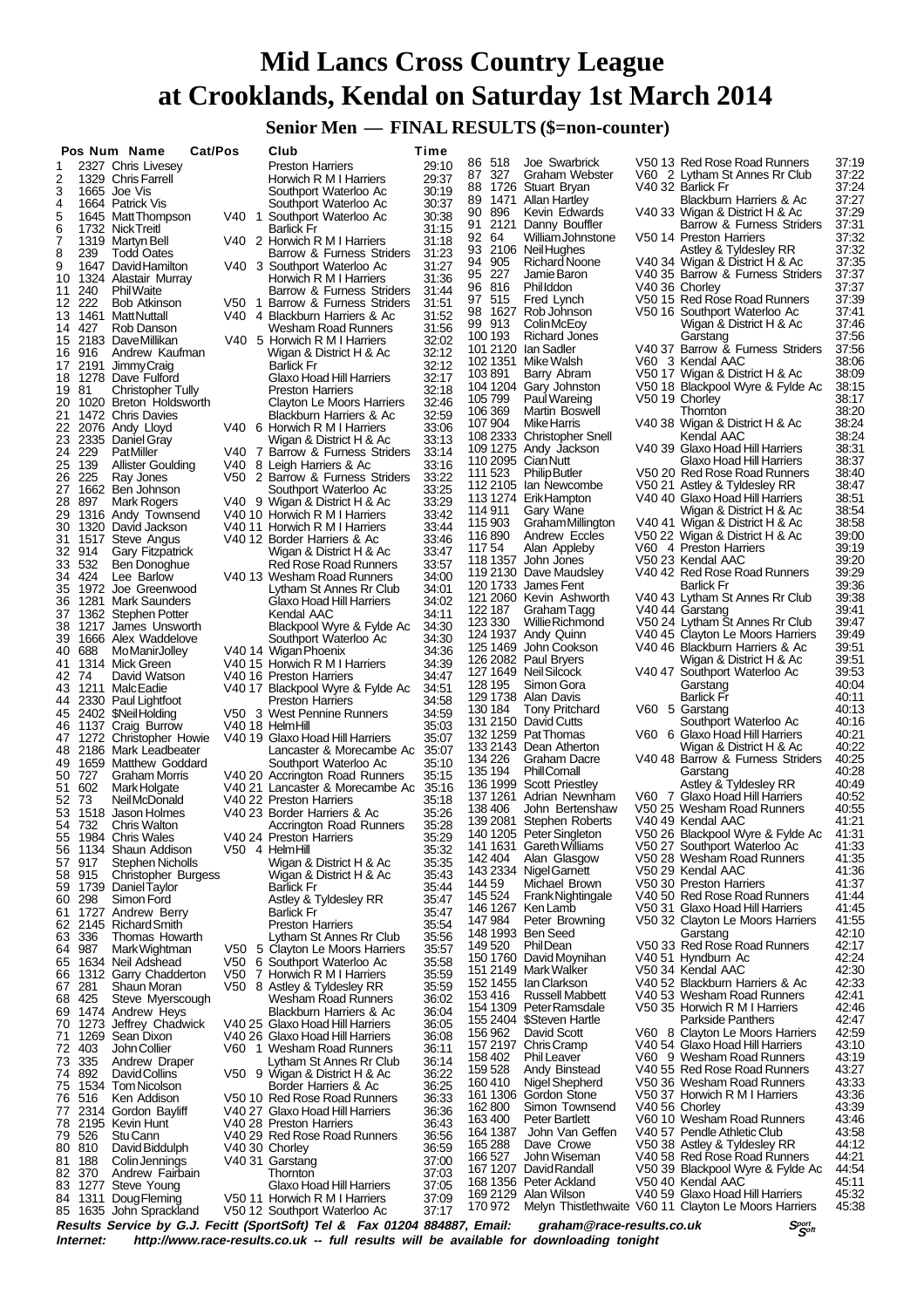**Senior Men — FINAL RESULTS (\$=non-counter)**

|          |        | Pos Num Name                                 | Cat/Pos |       | Club                                                         | Time           |                    |                                                     |                                                              |                |
|----------|--------|----------------------------------------------|---------|-------|--------------------------------------------------------------|----------------|--------------------|-----------------------------------------------------|--------------------------------------------------------------|----------------|
| 1        |        | 2327 Chris Livesey                           |         |       | <b>Preston Harriers</b>                                      | 29:10          | 86 518             | Joe Swarbrick                                       | V50 13 Red Rose Road Runners                                 | 37:19          |
| 2        |        | 1329 Chris Farrell                           |         |       | Horwich R M I Harriers                                       | 29:37          | 327<br>87<br>88    | Graham Webster<br>1726 Stuart Bryan                 | V60 2 Lytham St Annes Rr Club<br>V40 32 Barlick Fr           | 37:22<br>37:24 |
| 3        |        | 1665 Joe Vis                                 |         |       | Southport Waterloo Ac                                        | 30:19          | 1471<br>89         | Allan Hartley                                       | Blackburn Harriers & Ac                                      | 37:27          |
| 4<br>5   |        | 1664 Patrick Vis<br>1645 Matt Thompson       |         |       | Southport Waterloo Ac                                        | 30:37          | 896<br>90.         | Kevin Edwards                                       | V40 33 Wigan & District H & Ac                               | 37:29          |
| 6        |        | 1732 Nick Treitl                             |         |       | V40 1 Southport Waterloo Ac<br>Barlick Fr                    | 30:38<br>31:15 | 2121<br>91.        | Danny Bouttler                                      | Barrow & Furness Striders                                    | 37:31          |
| 7        |        | 1319 Martyn Bell                             |         |       | V40 2 Horwich R M I Harriers                                 | 31:18          | 9264               | William Johnstone                                   | V50 14 Preston Harriers                                      | 37:32          |
| 8        | 239    | <b>Todd Oates</b>                            |         |       | Barrow & Furness Striders                                    | 31:23          |                    | 93 2106 NeilHughes                                  | Astley & Tyldesley RR                                        | 37:32          |
| 9        |        | 1647 David Hamilton                          |         |       | V40 3 Southport Waterloo Ac                                  | 31:27          | 94 905             | Richard Noone                                       | V40 34 Wigan & District H & Ac                               | 37:35          |
| 10       |        | 1324 Alastair Murray                         |         |       | Horwich R M I Harriers                                       | 31:36          | 95 227             | Jamie Baron                                         | V40 35 Barrow & Furness Striders                             | 37:37          |
| 11       | 240    | <b>Phil Waite</b>                            |         |       | Barrow & Furness Striders                                    | 31:44          | 96 816             | <b>Phillddon</b>                                    | V40 36 Chorley                                               | 37:37          |
| 12       | -222   | <b>Bob Atkinson</b>                          |         | V50 1 | Barrow & Furness Striders                                    | 31:51          | 97 515<br>98       | Fred Lynch<br>1627 Rob Johnson                      | V50 15 Red Rose Road Runners<br>V50 16 Southport Waterloo Ac | 37:39<br>37:41 |
| 13       |        | 1461 MattNuttall                             |         |       | V40 4 Blackburn Harriers & Ac                                | 31:52          | 99 913             | Colin McEoy                                         | Wigan & District H & Ac                                      | 37:46          |
|          | 14 427 | Rob Danson                                   |         |       | Wesham Road Runners                                          | 31:56          | 100 193            | Richard Jones                                       | Garstang                                                     | 37:56          |
| 16       | 916    | 15 2183 DaveMillikan<br>Andrew Kaufman       |         |       | V40 5 Horwich R M I Harriers<br>Wigan & District H & Ac      | 32:02<br>32:12 |                    | 101 2120 Ian Sadler                                 | V40 37 Barrow & Furness Striders                             | 37:56          |
|          |        | 17 2191 JimmyCraig                           |         |       | <b>Barlick Fr</b>                                            | 32:12          |                    | 102 1351 Mike Walsh                                 | V60 3 Kendal AAC                                             | 38:06          |
| 18       |        | 1278 Dave Fulford                            |         |       | Glaxo Hoad Hill Harriers                                     | 32:17          | 103891             | Barry Abram                                         | V50 17 Wigan & District H & Ac                               | 38:09          |
| 1981     |        | Christopher Tully                            |         |       | <b>Preston Harriers</b>                                      | 32:18          |                    | 104 1204 Gary Johnston                              | V50 18 Blackpool Wyre & Fylde Ac                             | 38:15          |
| 20       |        | 1020 Breton Holdsworth                       |         |       | Clayton Le Moors Harriers                                    | 32:46          | 105 799            | Paul Wareing                                        | V50 19 Chorley                                               | 38:17          |
| 21       |        | 1472 Chris Davies                            |         |       | Blackburn Harriers & Ac                                      | 32:59          | 106 369            | Martin Boswell                                      | Thornton                                                     | 38:20          |
| 22       |        | 2076 Andy Lloyd                              |         |       | V40 6 Horwich R M I Harriers                                 | 33:06          | 107 904            | Mike Harris                                         | V40 38 Wigan & District H & Ac                               | 38:24          |
| 23       |        | 2335 Daniel Gray                             |         |       | Wigan & District H & Ac                                      | 33:13          |                    | 108 2333 Christopher Snell<br>109 1275 Andy Jackson | Kendal AAC<br>V40 39 Glaxo Hoad Hill Harriers                | 38:24<br>38:31 |
|          | 24 229 | <b>PatMiller</b>                             |         |       | V40 7 Barrow & Furness Striders                              | 33:14          | 110 2095 Cian Nutt |                                                     | Glaxo Hoad Hill Harriers                                     | 38:37          |
| 25       | 139    | Allister Goulding                            |         | V40.  | 8 Leigh Harriers & Ac                                        | 33:16          | 111 523            | <b>Philip Butler</b>                                | V50 20 Red Rose Road Runners                                 | 38:40          |
| 26<br>27 | 225    | Ray Jones<br>1662 Ben Johnson                |         |       | V50 2 Barrow & Furness Striders<br>Southport Waterloo Ac     | 33:22<br>33:25 |                    | 112 2105 Ian Newcombe                               | V50 21 Astley & Tyldesley RR                                 | 38:47          |
| 28       | 897    | Mark Rogers                                  |         |       | V40 9 Wigan & District H & Ac                                | 33:29          |                    | 113 1274 Erik Hampton                               | V40 40 Glaxo Hoad Hill Harriers                              | 38:51          |
| 29       |        | 1316 Andy Townsend                           |         |       | V40 10 Horwich R M I Harriers                                | 33:42          | 114 911            | Gary Wane                                           | Wigan & District H & Ac                                      | 38:54          |
| 30       |        | 1320 David Jackson                           |         |       | V40 11 Horwich R M I Harriers                                | 33:44          | 115 903            | Graham Millington                                   | V40 41 Wigan & District H & Ac                               | 38:58          |
| 31       |        | 1517 Steve Angus                             |         |       | V40 12 Border Harriers & Ac                                  | 33:46          | 116890             | Andrew Eccles                                       | V50 22 Wigan & District H & Ac                               | 39:00          |
|          | 32 914 | <b>Gary Fitzpatrick</b>                      |         |       | Wigan & District H & Ac                                      | 33:47          | 11754              | Alan Appleby                                        | V60 4 Preston Harriers                                       | 39:19          |
| 33       | 532    | Ben Donoghue                                 |         |       | <b>Red Rose Road Runners</b>                                 | 33:57          |                    | 118 1357 John Jones                                 | V50 23 Kendal AAC                                            | 39:20          |
|          | 34 424 | Lee Barlow                                   |         |       | V40 13 Wesham Road Runners                                   | 34:00          |                    | 119 2130 Dave Maudsley<br>120 1733 James Fent       | V40 42 Red Rose Road Runners<br>Barlick Fr                   | 39:29<br>39:36 |
| 35       |        | 1972 Joe Greenwood                           |         |       | Lytham St Annes Rr Club                                      | 34:01          |                    | 121 2060 Kevin Ashworth                             | V40 43 Lytham St Annes Rr Club                               | 39:38          |
| 36       | 1281   | Mark Saunders                                |         |       | Glaxo Hoad Hill Harriers                                     | 34:02          | 122 187            | Graham Tagg                                         | V40 44 Garstang                                              | 39:41          |
| 37<br>38 |        | 1362 Stephen Potter<br>1217 James Unsworth   |         |       | Kendal AAC<br>Blackpool Wyre & Fylde Ac                      | 34:11<br>34:30 | 123 330            | Willie Richmond                                     | V50 24 Lytham St Annes Rr Club                               | 39:47          |
| 39       |        | 1666 Alex Waddelove                          |         |       | Southport Waterloo Ac                                        | 34:30          |                    | 124 1937 Andy Quinn                                 | V40 45 Clayton Le Moors Harriers                             | 39:49          |
| 40       | 688    | MoManirJolley                                |         |       | V40 14 Wigan Phoenix                                         | 34:36          |                    | 125 1469 John Cookson                               | V40 46 Blackburn Harriers & Ac                               | 39:51          |
| 41       |        | 1314 Mick Green                              |         |       | V40 15 Horwich R M I Harriers                                | 34:39          |                    | 126 2082 Paul Bryers                                | Wigan & District H & Ac                                      | 39:51          |
| 42 74    |        | David Watson                                 |         |       | V40 16 Preston Harriers                                      | 34:47          |                    | 127 1649 Neil Silcock                               | V40 47 Southport Waterloo Ac                                 | 39.53          |
| 43       |        | 1211 MalcEadie                               |         |       | V40 17 Blackpool Wyre & Fylde Ac                             | 34:51          | 128 195            | Simon Gora                                          | Garstang                                                     | 40:04          |
| 44       |        | 2330 Paul Lightfoot                          |         |       | <b>Preston Harriers</b>                                      | 34.58          |                    | 129 1738 Alan Davis                                 | Barlick Fr                                                   | 40:11          |
| 45       |        | 2402 \$NeilHolding                           |         |       | V50 3 West Pennine Runners                                   | 34:59          | 130 184            | <b>Tony Pritchard</b><br>131 2150 David Cutts       | V60 5 Garstang<br>Southport Waterloo Ac                      | 40:13<br>40:16 |
| 46       |        | 1137 Craig Burrow                            |         |       | V40 18 HelmHill                                              | 35.03          |                    | 132 1259 Pat Thomas                                 | V60 6 Glaxo Hoad Hill Harriers                               | 40:21          |
|          |        | 47 1272 Christopher Howie                    |         |       | V40 19 Glaxo Hoad Hill Harriers                              | 35:07          |                    | 133 2143 Dean Atherton                              | Wigan & District H & Ac                                      | 40:22          |
| 48<br>49 |        | 2186 Mark Leadbeater<br>1659 Matthew Goddard |         |       | Lancaster & Morecambe Ac<br>Southport Waterloo Ac            | 35:07<br>35:10 | 134 226            | Graham Dacre                                        | V40 48 Barrow & Furness Striders                             | 40:25          |
|          | 50 727 | <b>Graham Morris</b>                         |         |       | V40 20 Accrington Road Runners                               | 35:15          | 135 194            | PhillCornall                                        | Garstang                                                     | 40:28          |
| 51       | 602    | Mark Holgate                                 |         |       | V40 21 Lancaster & Morecambe Ac                              | 35:16          |                    | 136 1999 Scott Priestley                            | Astley & Tyldesley RR                                        | 40:49          |
| 52 73    |        | <b>NeilMcDonald</b>                          |         |       | V40 22 Preston Harriers                                      | 35:18          |                    | 137 1261 Adrian Newnham                             | V60 7 Glaxo Hoad Hill Harriers                               | 40:52          |
| 53       |        | 1518 Jason Holmes                            |         |       | V40 23 Border Harriers & Ac                                  | 35:26          | 138406             | John Bertenshaw                                     | V50 25 Wesham Road Runners                                   | 40:55          |
|          | 54 732 | <b>Chris Walton</b>                          |         |       | Accrington Road Runners                                      | 35:28          |                    | 139 2081 Stephen Roberts                            | V40 49 Kendal AAC                                            | 41:21          |
|          |        | 55 1984 Chris Wales                          |         |       | V40 24 Preston Harriers                                      | 35:29          |                    | 140 1205 Peter Singleton                            | V50 26 Blackpool Wyre & Fylde Ac                             | 41:31          |
| 56       |        | 1134 Shaun Addison                           |         |       | V50 4 HelmHill                                               | 35:32          | 142 404            | 141 1631 Gareth Williams<br>Alan Glasgow            | V50 27 Southport Waterloo Ac<br>V50 28 Wesham Road Runners   | 41:33<br>41:35 |
| 57       | 917    | Stephen Nicholls                             |         |       | Wigan & District H & Ac                                      | 35:35          |                    | 143 2334 Nigel Garnett                              | V50 29 Kendal AAC                                            | 41:36          |
| 58       | 915    | Christopher Burgess                          |         |       | Wigan & District H & Ac                                      | 35.43          | 14459              | Michael Brown                                       | V50 30 Preston Harriers                                      | 41:37          |
| 59<br>60 | 298    | 1739 Daniel Taylor<br>Simon Ford             |         |       | <b>Barlick Fr</b><br>Astley & Tyldesley RR                   | 35:44<br>35:47 | 145 524            | Frank Nightingale                                   | V40 50 Red Rose Road Runners                                 | 41:44          |
| 61       |        | 1727 Andrew Berry                            |         |       | <b>Barlick Fr</b>                                            | 35:47          |                    | 146 1267 Ken Lamb                                   | V50 31 Glaxo Hoad Hill Harriers                              | 41:45          |
| 62       |        | 2145 Richard Smith                           |         |       | <b>Preston Harriers</b>                                      | 35:54          | 147 984            | Peter Browning                                      | V50 32 Clayton Le Moors Harriers                             | 41:55          |
| 63       | 336    | Thomas Howarth                               |         |       | Lytham St Annes Rr Club                                      | 35:56          |                    | 148 1993 Ben Seed                                   | Garstang                                                     | 42:10          |
| 64       | 987    | Mark Wightman                                |         |       | V50 5 Clayton Le Moors Harriers                              | 35:57          | 149 520            | PhilDean                                            | V50 33 Red Rose Road Runners                                 | 42:17          |
| 65       |        | 1634 Neil Adshead                            |         | V50   | 6 Southport Waterloo Ac                                      | 35:58          |                    | 150 1760 David Moynihan                             | V40 51 Hyndburn Ac                                           | 42:24          |
| 66       |        | 1312 Garry Chadderton                        |         |       | V50 7 Horwich R M I Harriers                                 | 35:59          |                    | 151 2149 Mark Walker                                | V50 34 Kendal AAC                                            | 42:30          |
| 67       | 281    | Shaun Moran                                  |         |       | V50 8 Astley & Tyldesley RR                                  | 35.59          | 153416             | 152 1455 Ian Clarkson<br><b>Russell Mabbett</b>     | V40 52 Blackburn Harriers & Ac<br>V40 53 Wesham Road Runners | 42:33<br>42:41 |
| 68       | 425    | Steve Myerscough                             |         |       | Wesham Road Runners                                          | 36:02          |                    | 154 1309 Peter Ramsdale                             | V50 35 Horwich R M I Harriers                                | 42:46          |
| 69       |        | 1474 Andrew Heys                             |         |       | Blackburn Harriers & Ac                                      | 36:04          |                    | 155 2404 \$Steven Hartle                            | Parkside Panthers                                            | 42:47          |
| 70       |        | 1273 Jeffrey Chadwick                        |         |       | V40 25 Glaxo Hoad Hill Harriers                              | 36:05          | 156 962            | David Scott                                         | V60 8 Clayton Le Moors Harriers                              | 42:59          |
| 71<br>72 | 403    | 1269 Sean Dixon<br>John Collier              |         |       | V40 26 Glaxo Hoad Hill Harriers<br>V60 1 Wesham Road Runners | 36.08<br>36:11 |                    | 157 2197 Chris Cramp                                | V40 54 Glaxo Hoad Hill Harriers                              | 43:10          |
| 73       | 335    | Andrew Draper                                |         |       | Lytham St Annes Rr Club                                      | 36:14          | 158 402            | <b>Phil Leaver</b>                                  | V60 9 Wesham Road Runners                                    | 43:19          |
| 74       | 892    | <b>DavidCollins</b>                          |         |       | V50 9 Wigan & District H & Ac                                | 36:22          | 159 528            | Andy Binstead                                       | V40 55 Red Rose Road Runners                                 | 43:27          |
| 75       |        | 1534 Tom Nicolson                            |         |       | Border Harriers & Ac                                         | 36:25          | 160 410            | Nigel Shepherd                                      | V50 36 Wesham Road Runners                                   | 43:33          |
| 76       | 516    | Ken Addison                                  |         |       | V50 10 Red Rose Road Runners                                 | 36:33          |                    | 161 1306 Gordon Stone                               | V50 37 Horwich R M I Harriers                                | 43:36          |
| 77       |        | 2314 Gordon Bayliff                          |         |       | V40 27 Glaxo Hoad Hill Harriers                              | 36:36          | 162 800            | Simon Townsend                                      | V40 56 Chorley                                               | 43:39          |
| 78       |        | 2195 Kevin Hunt                              |         |       | V40 28 Preston Harriers                                      | 36:43          | 163 400            | <b>Peter Bartlett</b>                               | V60 10 Wesham Road Runners                                   | 43:46          |
| 79       | 526    | Stu Cann                                     |         |       | V40 29 Red Rose Road Runners                                 | 36.56          |                    | 164 1387 John Van Geffen<br>Dave Crowe              | V40 57 Pendle Athletic Club                                  | 43:58<br>44:12 |
|          | 80 810 | David Biddulph                               |         |       | V40 30 Chorley                                               | 36:59          | 165 288<br>166 527 | John Wiseman                                        | V50 38 Astley & Tyldesley RR<br>V40 58 Red Rose Road Runners | 44:21          |
| 81       | 188    | Colin Jennings                               |         |       | V40 31 Garstang                                              | 37:00          |                    | 167 1207 David Randall                              | V50 39 Blackpool Wyre & Fylde Ac                             | 44:54          |
| 83       | 82 370 | Andrew Fairbain<br>1277 Steve Young          |         |       | Thornton<br>Glaxo Hoad Hill Harriers                         | 37:03<br>37:05 |                    | 168 1356 Peter Ackland                              | V50 40 Kendal AAC                                            | 45:11          |
| 84       | 1311   | Doug Fleming                                 |         |       | V50 11 Horwich R M I Harriers                                | 37:09          |                    | 169 2129 Alan Wilson                                | V40 59 Glaxo Hoad Hill Harriers                              | 45:32          |
|          |        | 85 1635 John Sprackland                      |         |       | V50 12 Southport Waterloo Ac                                 | 37:17          | 170 972            |                                                     | Melyn Thistlethwaite V60 11 Clayton Le Moors Harriers        | 45:38          |

**Results Service by G.J. Fecitt (SportSoft) Tel & Fax 01204 884887, Email: graham@race-results.co.uk S<sup>port</sup> S<sup>ergt</sup><br>Internet: http://www.race-results.co.uk -- full results will be available for downloading tonight** http://www.race-results.co.uk -- full results will be available for downloading tonight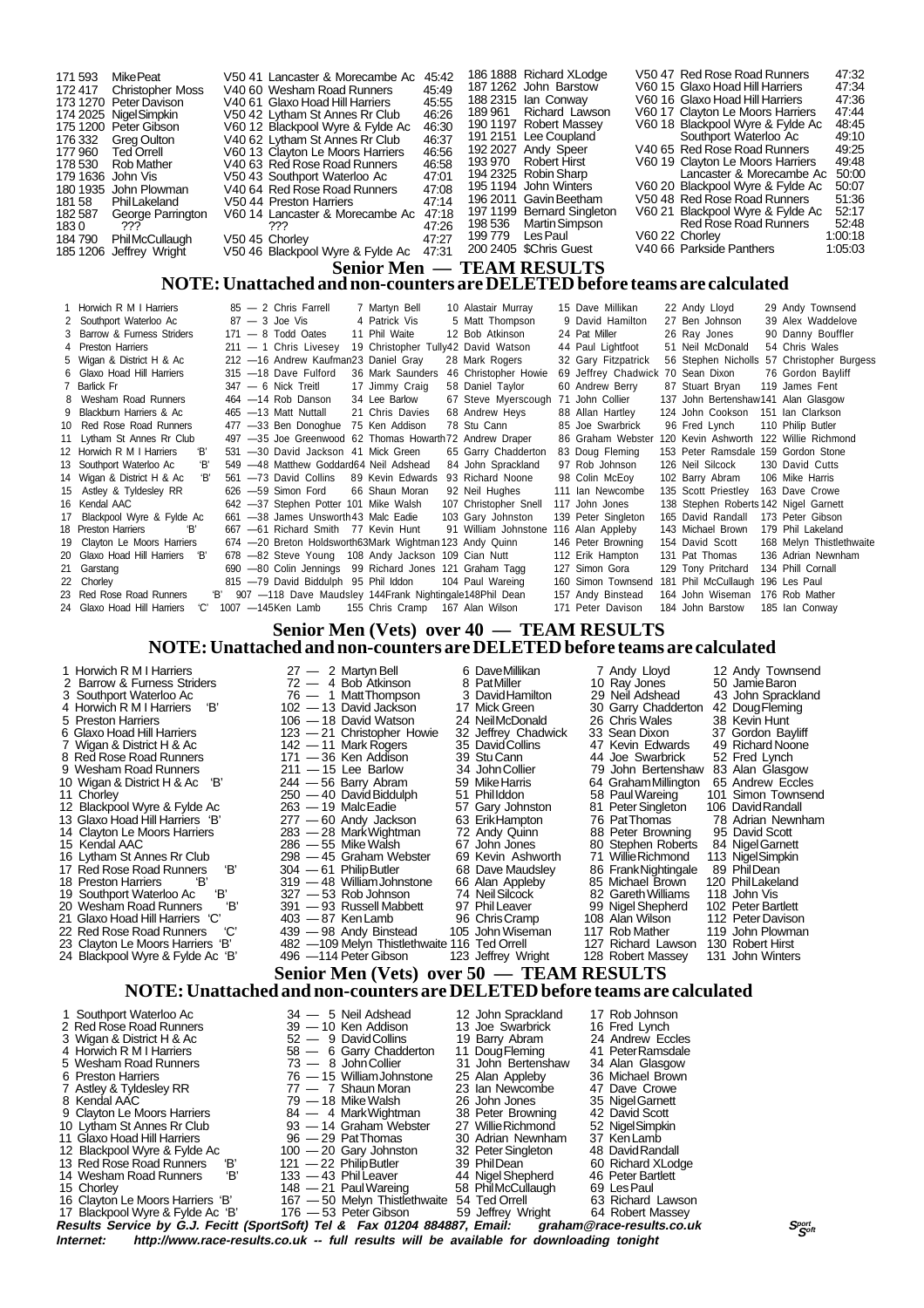| 171 593           | MikePeat                 | V50 41 Lancaster & Morecambe Ac                     | 45.42 |                     | 186 1888 Richard XLodge    | V50 47 Red Rose Road Runners     | 47:32   |
|-------------------|--------------------------|-----------------------------------------------------|-------|---------------------|----------------------------|----------------------------------|---------|
|                   | 172 417 Christopher Moss | V40.60 Wesham Road Runners                          | 45.49 |                     | 187 1262 John Barstow      | V60 15 Glaxo Hoad Hill Harriers  | 47:34   |
|                   | 173 1270 Peter Davison   | V40 61 Glaxo Hoad Hill Harriers                     | 45.55 |                     | 188 2315 Ian Conwav        | V60 16 Glaxo Hoad Hill Harriers  | 47:36   |
|                   | 174 2025 NigelSimpkin    | V50 42 Lytham St Annes Rr Club                      | 46.26 |                     | 189 961 Richard Lawson     | V60 17 Clayton Le Moors Harriers | 47:44   |
|                   | 175 1200 Peter Gibson    | V60 12 Blackpool Wyre & Fylde Ac                    | 46:30 |                     | 190 1197 Robert Massey     | V60 18 Blackpool Wyre & Fylde Ac | 48:45   |
|                   | 176 332 Greg Oulton      | V40 62 Lytham St Annes Rr Club                      | 46.37 |                     | 191 2151 Lee Coupland      | Southport Waterloo Ac            | 49:10   |
| 177 960           | Ted Orrell               | V60 13 Clayton Le Moors Harriers                    | 46:56 |                     | 192 2027 Andy Speer        | V40 65 Red Rose Road Runners     | 49.25   |
| 178 530           | Rob Mather               | V40 63 Red Rose Road Runners                        | 46.58 |                     | 193 970 Robert Hirst       | V60 19 Clayton Le Moors Harriers | 49.48   |
| 179 1636 John Vis |                          | V50 43 Southport Waterloo Ac                        | 47:01 |                     | 194 2325 Robin Sharp       | Lancaster & Morecambe Ac         | 50:00   |
|                   | 180 1935 John Plowman    | V40 64 Red Rose Road Runners                        | 47:08 |                     | 195 1194 John Winters      | V60 20 Blackpool Wyre & Fylde Ac | 50:07   |
| 181 58            | PhilLakeland             | V50 44 Preston Harriers                             | 47:14 |                     | 196 2011 Gavin Beetham     | V50 48 Red Rose Road Runners     | 51:36   |
| 182 587           | George Parrington        | V60 14 Lancaster & Morecambe Ac                     | 47:18 |                     | 197 1199 Bernard Singleton | V60 21 Blackpool Wyre & Fylde Ac | 52:17   |
| 1830              | ???                      | ???                                                 | 47:26 |                     | 198 536 Martin Simpson     | Red Rose Road Runners            | 52.48   |
| 184 790           | <b>PhilMcCullaugh</b>    | V50 45 Chorley                                      | 47:27 | 199 779    Les Paul |                            | V60 22 Chorley                   | 1:00:18 |
|                   | 185 1206 Jeffrey Wright  | V50 46 Blackpool Wyre & Fylde Ac                    | 47:31 |                     | 200 2405 \$Chris Guest     | V40 66 Parkside Panthers         | 1:05:03 |
|                   |                          | $\mathbf{C}_{\mathbf{C}}$ $\mathbf{C}_{\mathbf{C}}$ |       |                     | TE AM DECHI TC             |                                  |         |

#### **Senior Men — TEAM RESULTS NOTE: Unattached and non-counters are DELETED before teams are calculated**

| 1 Horwich R M I Harriers           |  | $85 - 2$ Chris Farrell                                         | 7 Martyn Bell                       | 10 Alastair Murray    | 15 Dave Millikan                  | 22 Andy Lloyd                         | 29 Andy Townsend                           |
|------------------------------------|--|----------------------------------------------------------------|-------------------------------------|-----------------------|-----------------------------------|---------------------------------------|--------------------------------------------|
| 2 Southport Waterloo Ac            |  | $87 - 3$ Joe Vis                                               | 4 Patrick Vis                       | 5 Matt Thompson       | 9 David Hamilton                  | 27 Ben Johnson                        | 39 Alex Waddelove                          |
| 3 Barrow & Furness Striders        |  | $171 - 8$ Todd Oates                                           | 11 Phil Waite                       | 12 Bob Atkinson       | 24 Pat Miller                     | 26 Ray Jones                          | 90 Danny Bouffler                          |
| 4 Preston Harriers                 |  | $211 - 1$ Chris Livesey                                        | 19 Christopher Tully42 David Watson |                       | 44 Paul Lightfoot                 | 51 Neil McDonald                      | 54 Chris Wales                             |
| 5 Wigan & District H & Ac          |  | 212 -16 Andrew Kaufman23 Daniel Gray                           |                                     | 28 Mark Rogers        | 32 Gary Fitzpatrick               |                                       | 56 Stephen Nicholls 57 Christopher Burgess |
| 6 Glaxo Hoad Hill Harriers         |  | 315 - 18 Dave Fulford                                          | 36 Mark Saunders                    | 46 Christopher Howie  | 69 Jeffrey Chadwick 70 Sean Dixon |                                       | 76 Gordon Bayliff                          |
| 7 Barlick Fr                       |  | $347 - 6$ Nick Treitl                                          | 17 Jimmy Craig                      | 58 Daniel Taylor      | 60 Andrew Berry                   | 87 Stuart Bryan                       | 119 James Fent                             |
| 8 Wesham Road Runners              |  | 464 - 14 Rob Danson                                            | 34 Lee Barlow                       | 67 Steve Myerscough   | 71 John Collier                   | 137 John Bertenshaw141 Alan Glasgow   |                                            |
| 9 Blackburn Harriers & Ac          |  | 465 - 13 Matt Nuttall                                          | 21 Chris Davies                     | 68 Andrew Heys        | 88 Allan Hartley                  | 124 John Cookson                      | 151 Ian Clarkson                           |
| 10 Red Rose Road Runners           |  | 477 -33 Ben Donoghue                                           | 75 Ken Addison                      | 78 Stu Cann           | 85 Joe Swarbrick                  | 96 Fred Lynch                         | 110 Philip Butler                          |
| 11 Lytham St Annes Rr Club         |  | 497 -35 Joe Greenwood 62 Thomas Howarth 72 Andrew Draper       |                                     |                       | 86 Graham Webster                 | 120 Kevin Ashworth                    | 122 Willie Richmond                        |
| 12 Horwich R M I Harriers<br>Έ     |  | 531 -30 David Jackson 41 Mick Green                            |                                     | 65 Garry Chadderton   | 83 Doug Fleming                   | 153 Peter Ramsdale 159 Gordon Stone   |                                            |
| 13 Southport Waterloo Ac<br>Έ,     |  | 549 -48 Matthew Goddard64 Neil Adshead                         |                                     | 84 John Sprackland    | 97 Rob Johnson                    | 126 Neil Silcock                      | 130 David Cutts                            |
| 14 Wigan & District H & Ac<br>ʻBʻ  |  | 561 -73 David Collins                                          | 89 Kevin Edwards                    | 93 Richard Noone      | 98 Colin McEov                    | 102 Barry Abram                       | 106 Mike Harris                            |
| 15 Astley & Tyldesley RR           |  | 626 - 59 Simon Ford                                            | 66 Shaun Moran                      | 92 Neil Hughes        | 111 Ian Newcombe                  | 135 Scott Priestley                   | 163 Dave Crowe                             |
| 16 Kendal AAC                      |  | 642 -37 Stephen Potter 101 Mike Walsh                          |                                     | 107 Christopher Snell | 117 John Jones                    | 138 Stephen Roberts 142 Nigel Garnett |                                            |
| 17 Blackpool Wyre & Fylde Ac       |  | 661 -38 James Unsworth 43 Malc Eadie                           |                                     | 103 Gary Johnston     | 139 Peter Singleton               | 165 David Randall                     | 173 Peter Gibson                           |
| 18 Preston Harriers<br>'R'         |  | 667 -61 Richard Smith 77 Kevin Hunt                            |                                     | 91 William Johnstone  | 116 Alan Appleby                  | 143 Michael Brown                     | 179 Phil Lakeland                          |
| 19 Clayton Le Moors Harriers       |  | 674 - 20 Breton Holdsworth 63 Mark Wightman 123 Andy Quinn     |                                     |                       | 146 Peter Browning                | 154 David Scott                       | 168 Melyn Thistlethwaite                   |
| 20 Glaxo Hoad Hill Harriers 'B'    |  | 678 -82 Steve Young 108 Andy Jackson 109 Cian Nutt             |                                     |                       | 112 Erik Hampton                  | 131 Pat Thomas                        | 136 Adrian Newnham                         |
| 21 Garstang                        |  | 690 -80 Colin Jennings 99 Richard Jones 121 Graham Tagg        |                                     |                       | 127 Simon Gora                    | 129 Tony Pritchard                    | 134 Phill Cornall                          |
| 22 Chorley                         |  | 815 -79 David Biddulph 95 Phil Iddon                           |                                     | 104 Paul Wareing      | 160 Simon Townsend                | 181 Phil McCullaugh                   | 196 Les Paul                               |
| 23 Red Rose Road Runners           |  | 'B' 907 -118 Dave Maudsley 144 Frank Nightingale 148 Phil Dean |                                     |                       | 157 Andy Binstead                 | 164 John Wiseman                      | 176 Rob Mather                             |
| 24 Glaxo Hoad Hill Harriers<br>'C' |  | 1007 - 145 Ken Lamb                                            | 155 Chris Cramp 167 Alan Wilson     |                       | 171 Peter Davison                 | 184 John Barstow                      | 185 Ian Conway                             |

#### **Senior Men (Vets) over 40 — TEAM RESULTS NOTE: Unattached and non-counters are DELETED before teams are calculated**

| 1 Horwich R M I Harriers<br>2 Barrow & Furness Striders<br>3 Southport Waterloo Ac<br>'B'<br>4 Horwich R M I Harriers<br>5 Preston Harriers<br>6 Glaxo Hoad Hill Harriers<br>7 Wigan & District H & Ac<br>8 Red Rose Road Runners<br>9 Wesham Road Runners<br>"B'<br>10 Wigan & District H & Ac<br>11 Chorley<br>12 Blackpool Wyre & Fylde Ac<br>13 Glaxo Hoad Hill Harriers 'B'<br>14 Clayton Le Moors Harriers                                                                            | $27 - 2$ Martyn Bell<br>$72 - 4$ Bob Atkinson<br>76 - 1 Matt Thompson<br>102 - 13 David Jackson<br>106 - 18 David Watson<br>123 - 21 Christopher Howie<br>$142 - 11$ Mark Rogers<br>171 - 36 Ken Addison<br>$211 - 15$ Lee Barlow<br>$244 - 56$ Barry Abram<br>250 - 40 David Biddulph<br>263 - 19 MalcEadie<br>277 — 60 Andy Jackson<br>283 - 28 Mark Wightman                                                                                | 6 Dave Millikan<br>8 PatMiller<br>3 DavidHamilton<br>17 Mick Green<br>24 NeilMcDonald<br>32 Jeffrey Chadwick<br>35 DavidCollins<br>39 Stu Cann<br>34 John Collier<br>59 Mike Harris<br>51 Phillddon<br>57 Gary Johnston<br>63 ErikHampton<br>72 Andy Quinn                                                                                    | 7 Andy Lloyd<br>10 Ray Jones<br>29 Neil Adshead<br>30 Garry Chadderton<br>26 Chris Wales<br>33 Sean Dixon<br>47 Kevin Edwards<br>44 Joe Swarbrick<br>79 John Bertenshaw<br>64 Graham Millington<br>58 Paul Wareing<br>81 Peter Singleton<br>76 Pat Thomas<br>88 Peter Browning                                                | 12 Andy Townsend<br>50 Jamie Baron<br>43 John Sprackland<br>42 Doug Fleming<br>38 Kevin Hunt<br>37 Gordon Bayliff<br>49 Richard Noone<br>52 Fred Lynch<br>83 Alan Glasgow<br>65 Andrew Eccles<br>101 Simon Townsend<br>106 David Randall<br>78 Adrian Newnham<br>95 David Scott |
|---------------------------------------------------------------------------------------------------------------------------------------------------------------------------------------------------------------------------------------------------------------------------------------------------------------------------------------------------------------------------------------------------------------------------------------------------------------------------------------------|------------------------------------------------------------------------------------------------------------------------------------------------------------------------------------------------------------------------------------------------------------------------------------------------------------------------------------------------------------------------------------------------------------------------------------------------|-----------------------------------------------------------------------------------------------------------------------------------------------------------------------------------------------------------------------------------------------------------------------------------------------------------------------------------------------|-------------------------------------------------------------------------------------------------------------------------------------------------------------------------------------------------------------------------------------------------------------------------------------------------------------------------------|---------------------------------------------------------------------------------------------------------------------------------------------------------------------------------------------------------------------------------------------------------------------------------|
| 15 Kendal AAC<br>16 Lytham St Annes Rr Club<br>17 Red Rose Road Runners<br>'В'<br>'В'<br>18 Preston Harriers<br>'В'<br>19 Southport Waterloo Ac<br>Έ<br>20 Wesham Road Runners<br>21 Glaxo Hoad Hill Harriers 'C'<br>'С'<br>22 Red Rose Road Runners<br>23 Clayton Le Moors Harriers 'B'<br>24 Blackpool Wyre & Fylde Ac 'B'                                                                                                                                                                | 286 - 55 Mike Walsh<br>298 — 45 Graham Webster<br>304 - 61 Philip Butler<br>319 - 48 William Johnstone<br>327 - 53 Rob Johnson<br>391 - 93 Russell Mabbett<br>$403 - 87$ Ken Lamb<br>439 - 98 Andy Binstead<br>482 - 109 Melyn Thistlethwaite 116 Ted Orrell<br>496 -114 Peter Gibson<br>Senior Men (Vets) over 50 - TEAM RESULTS                                                                                                              | 67 John Jones<br>69 Kevin Ashworth<br>68 Dave Maudsley<br>66 Alan Appleby<br>74 Neil Silcock<br>97 Phil Leaver<br>96 Chris Cramp<br>105 John Wiseman<br>123 Jeffrey Wright                                                                                                                                                                    | 80 Stephen Roberts<br>71 Willie Richmond<br>86 Frank Nightingale<br>85 Michael Brown<br>82 Gareth Williams<br>99 Nigel Shepherd<br>108 Alan Wilson<br>117 Rob Mather<br>127 Richard Lawson<br>128 Robert Massey                                                                                                               | 84 Nigel Garnett<br>113 NigelSimpkin<br>89 PhilDean<br>120 PhilLakeland<br>118 John Vis<br>102 Peter Bartlett<br>112 Peter Davison<br>119 John Plowman<br>130 Robert Hirst<br>131 John Winters                                                                                  |
|                                                                                                                                                                                                                                                                                                                                                                                                                                                                                             | NOTE: Unattached and non-counters are DELETED before teams are calculated                                                                                                                                                                                                                                                                                                                                                                      |                                                                                                                                                                                                                                                                                                                                               |                                                                                                                                                                                                                                                                                                                               |                                                                                                                                                                                                                                                                                 |
| 1 Southport Waterloo Ac<br>2 Red Rose Road Runners<br>3 Wigan & District H & Ac<br>4 Horwich R M I Harriers<br>5 Wesham Road Runners<br>6 Preston Harriers<br>7 Astley & Tyldesley RR<br>8 Kendal AAC<br>9 Clayton Le Moors Harriers<br>10 Lytham St Annes Rr Club<br>11 Glaxo Hoad Hill Harriers<br>12 Blackpool Wyre & Fylde Ac<br>13 Red Rose Road Runners<br>'В'<br>'B'<br>14 Wesham Road Runners<br>15 Chorley<br>16 Clayton Le Moors Harriers 'B'<br>17 Blackpool Wyre & Fylde Ac 'B' | 34 - 5 Neil Adshead<br>39 - 10 Ken Addison<br>52 - 9 David Collins<br>58 - 6 Garry Chadderton<br>$73 - 8$ John Collier<br>76 - 15 William Johnstone<br>77 - 7 Shaun Moran<br>$79 - 18$ Mike Walsh<br>84 — 4 Mark Wightman<br>93 - 14 Graham Webster<br>96 - 29 Pat Thomas<br>$100 - 20$ Gary Johnston<br>$121 - 22$ Philip Butler<br>133 - 43 Phil Leaver<br>$148 - 21$ Paul Wareing<br>167 - 50 Melyn Thistlethwaite<br>176 - 53 Peter Gibson | 12 John Sprackland<br>13 Joe Swarbrick<br>19 Barry Abram<br>11 Doug Fleming<br>31 John Bertenshaw<br>25 Alan Appleby<br>23 Ian Newcombe<br>26 John Jones<br>38 Peter Browning<br>27 Willie Richmond<br>30 Adrian Newnham<br>32 Peter Singleton<br>39 PhilDean<br>44 Nigel Shepherd<br>58 PhilMcCullaugh<br>54 Ted Orrell<br>59 Jeffrey Wright | 17 Rob Johnson<br>16 Fred Lynch<br>24 Andrew Eccles<br>41 PeterRamsdale<br>34 Alan Glasgow<br>36 Michael Brown<br>47 Dave Crowe<br>35 Nigel Garnett<br>42 David Scott<br>52 NigelSimpkin<br>37 Ken Lamb<br>48 David Randall<br>60 Richard XLodge<br>46 Peter Bartlett<br>69 Les Paul<br>63 Richard Lawson<br>64 Robert Massey |                                                                                                                                                                                                                                                                                 |